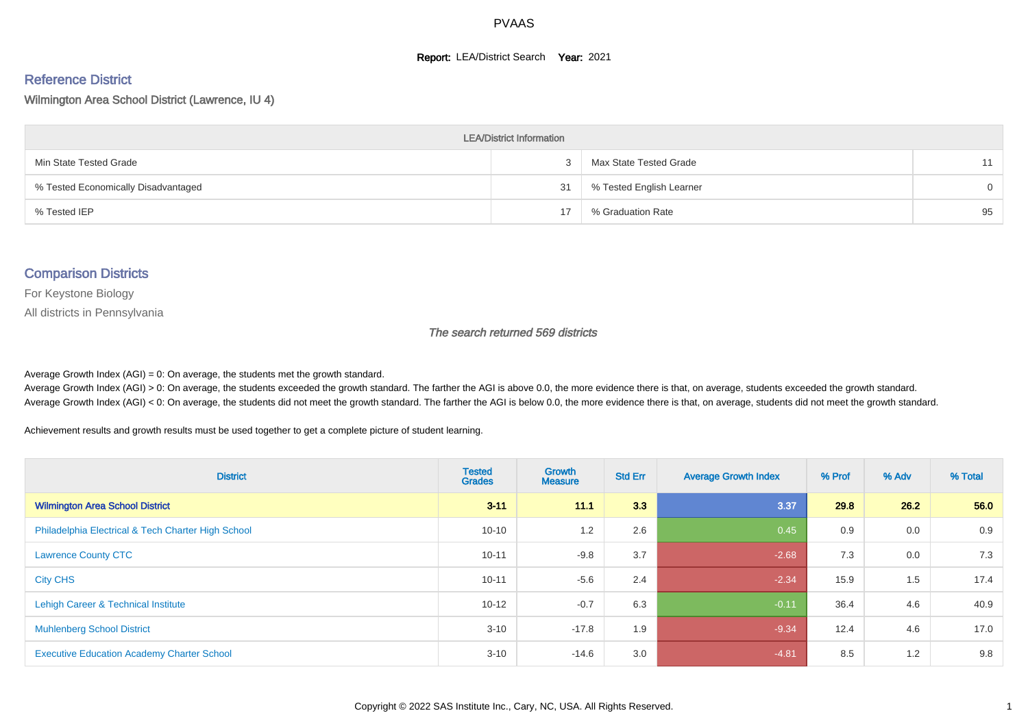#### **Report: LEA/District Search Year: 2021**

# Reference District

Wilmington Area School District (Lawrence, IU 4)

| <b>LEA/District Information</b>     |    |                          |          |  |  |  |  |  |  |  |
|-------------------------------------|----|--------------------------|----------|--|--|--|--|--|--|--|
| Min State Tested Grade              |    | Max State Tested Grade   | 11       |  |  |  |  |  |  |  |
| % Tested Economically Disadvantaged | 31 | % Tested English Learner | $\Omega$ |  |  |  |  |  |  |  |
| % Tested IEP                        | 17 | % Graduation Rate        | 95       |  |  |  |  |  |  |  |

#### Comparison Districts

For Keystone Biology

All districts in Pennsylvania

The search returned 569 districts

Average Growth Index  $(AGI) = 0$ : On average, the students met the growth standard.

Average Growth Index (AGI) > 0: On average, the students exceeded the growth standard. The farther the AGI is above 0.0, the more evidence there is that, on average, students exceeded the growth standard. Average Growth Index (AGI) < 0: On average, the students did not meet the growth standard. The farther the AGI is below 0.0, the more evidence there is that, on average, students did not meet the growth standard.

Achievement results and growth results must be used together to get a complete picture of student learning.

| <b>District</b>                                    | <b>Tested</b><br><b>Grades</b> | Growth<br><b>Measure</b> | <b>Std Err</b> | <b>Average Growth Index</b> | % Prof | % Adv | % Total |
|----------------------------------------------------|--------------------------------|--------------------------|----------------|-----------------------------|--------|-------|---------|
| <b>Wilmington Area School District</b>             | $3 - 11$                       | 11.1                     | 3.3            | 3.37                        | 29.8   | 26.2  | 56.0    |
| Philadelphia Electrical & Tech Charter High School | $10 - 10$                      | 1.2                      | 2.6            | 0.45                        | 0.9    | 0.0   | 0.9     |
| <b>Lawrence County CTC</b>                         | $10 - 11$                      | $-9.8$                   | 3.7            | $-2.68$                     | 7.3    | 0.0   | 7.3     |
| <b>City CHS</b>                                    | $10 - 11$                      | $-5.6$                   | 2.4            | $-2.34$                     | 15.9   | 1.5   | 17.4    |
| Lehigh Career & Technical Institute                | $10 - 12$                      | $-0.7$                   | 6.3            | $-0.11$                     | 36.4   | 4.6   | 40.9    |
| <b>Muhlenberg School District</b>                  | $3 - 10$                       | $-17.8$                  | 1.9            | $-9.34$                     | 12.4   | 4.6   | 17.0    |
| <b>Executive Education Academy Charter School</b>  | $3 - 10$                       | $-14.6$                  | 3.0            | $-4.81$                     | 8.5    | 1.2   | 9.8     |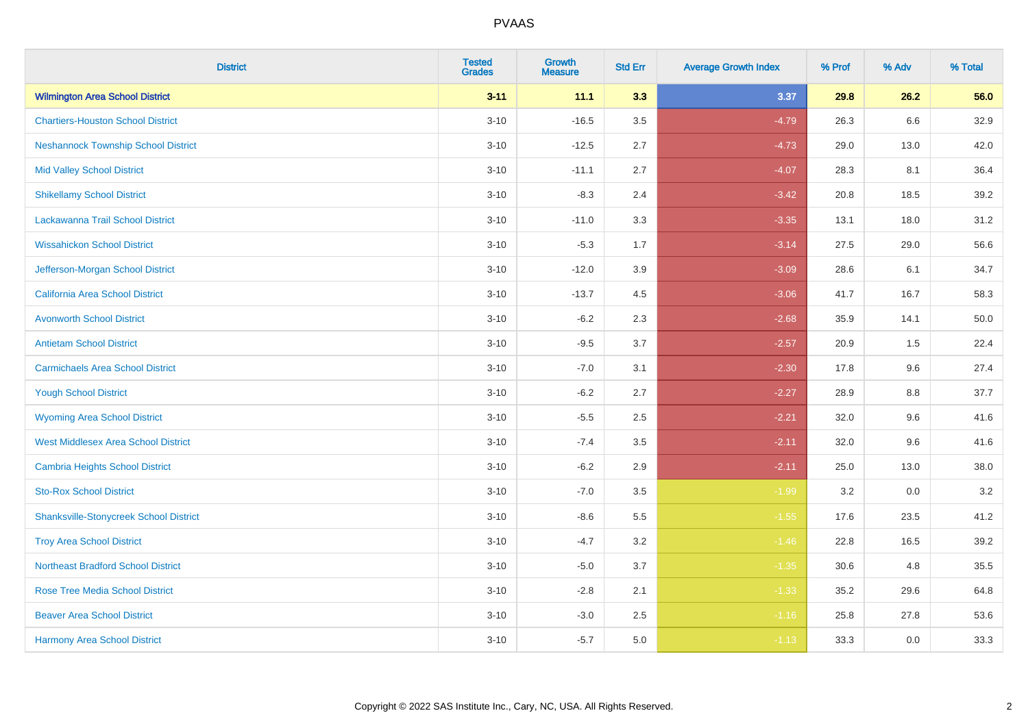| <b>District</b>                               | <b>Tested</b><br><b>Grades</b> | <b>Growth</b><br><b>Measure</b> | <b>Std Err</b> | <b>Average Growth Index</b> | % Prof | % Adv   | % Total |
|-----------------------------------------------|--------------------------------|---------------------------------|----------------|-----------------------------|--------|---------|---------|
| <b>Wilmington Area School District</b>        | $3 - 11$                       | 11.1                            | 3.3            | 3.37                        | 29.8   | 26.2    | 56.0    |
| <b>Chartiers-Houston School District</b>      | $3 - 10$                       | $-16.5$                         | 3.5            | $-4.79$                     | 26.3   | $6.6\,$ | 32.9    |
| <b>Neshannock Township School District</b>    | $3 - 10$                       | $-12.5$                         | 2.7            | $-4.73$                     | 29.0   | 13.0    | 42.0    |
| <b>Mid Valley School District</b>             | $3 - 10$                       | $-11.1$                         | 2.7            | $-4.07$                     | 28.3   | 8.1     | 36.4    |
| <b>Shikellamy School District</b>             | $3 - 10$                       | $-8.3$                          | 2.4            | $-3.42$                     | 20.8   | 18.5    | 39.2    |
| Lackawanna Trail School District              | $3 - 10$                       | $-11.0$                         | 3.3            | $-3.35$                     | 13.1   | 18.0    | 31.2    |
| <b>Wissahickon School District</b>            | $3 - 10$                       | $-5.3$                          | 1.7            | $-3.14$                     | 27.5   | 29.0    | 56.6    |
| Jefferson-Morgan School District              | $3 - 10$                       | $-12.0$                         | 3.9            | $-3.09$                     | 28.6   | 6.1     | 34.7    |
| California Area School District               | $3 - 10$                       | $-13.7$                         | 4.5            | $-3.06$                     | 41.7   | 16.7    | 58.3    |
| <b>Avonworth School District</b>              | $3 - 10$                       | $-6.2$                          | 2.3            | $-2.68$                     | 35.9   | 14.1    | 50.0    |
| <b>Antietam School District</b>               | $3 - 10$                       | $-9.5$                          | 3.7            | $-2.57$                     | 20.9   | 1.5     | 22.4    |
| <b>Carmichaels Area School District</b>       | $3 - 10$                       | $-7.0$                          | 3.1            | $-2.30$                     | 17.8   | 9.6     | 27.4    |
| <b>Yough School District</b>                  | $3 - 10$                       | $-6.2$                          | 2.7            | $-2.27$                     | 28.9   | $8.8\,$ | 37.7    |
| <b>Wyoming Area School District</b>           | $3 - 10$                       | $-5.5$                          | 2.5            | $-2.21$                     | 32.0   | 9.6     | 41.6    |
| <b>West Middlesex Area School District</b>    | $3 - 10$                       | $-7.4$                          | 3.5            | $-2.11$                     | 32.0   | 9.6     | 41.6    |
| <b>Cambria Heights School District</b>        | $3 - 10$                       | $-6.2$                          | 2.9            | $-2.11$                     | 25.0   | 13.0    | 38.0    |
| <b>Sto-Rox School District</b>                | $3 - 10$                       | $-7.0$                          | 3.5            | $-1.99$                     | 3.2    | 0.0     | 3.2     |
| <b>Shanksville-Stonycreek School District</b> | $3 - 10$                       | $-8.6$                          | 5.5            | $-1.55$                     | 17.6   | 23.5    | 41.2    |
| <b>Troy Area School District</b>              | $3 - 10$                       | $-4.7$                          | 3.2            | $-1.46$                     | 22.8   | 16.5    | 39.2    |
| <b>Northeast Bradford School District</b>     | $3 - 10$                       | $-5.0$                          | 3.7            | $-1.35$                     | 30.6   | 4.8     | 35.5    |
| <b>Rose Tree Media School District</b>        | $3 - 10$                       | $-2.8$                          | 2.1            | $-1.33$                     | 35.2   | 29.6    | 64.8    |
| <b>Beaver Area School District</b>            | $3 - 10$                       | $-3.0$                          | 2.5            | $-1.16$                     | 25.8   | 27.8    | 53.6    |
| <b>Harmony Area School District</b>           | $3 - 10$                       | $-5.7$                          | 5.0            | $-1.13$                     | 33.3   | 0.0     | 33.3    |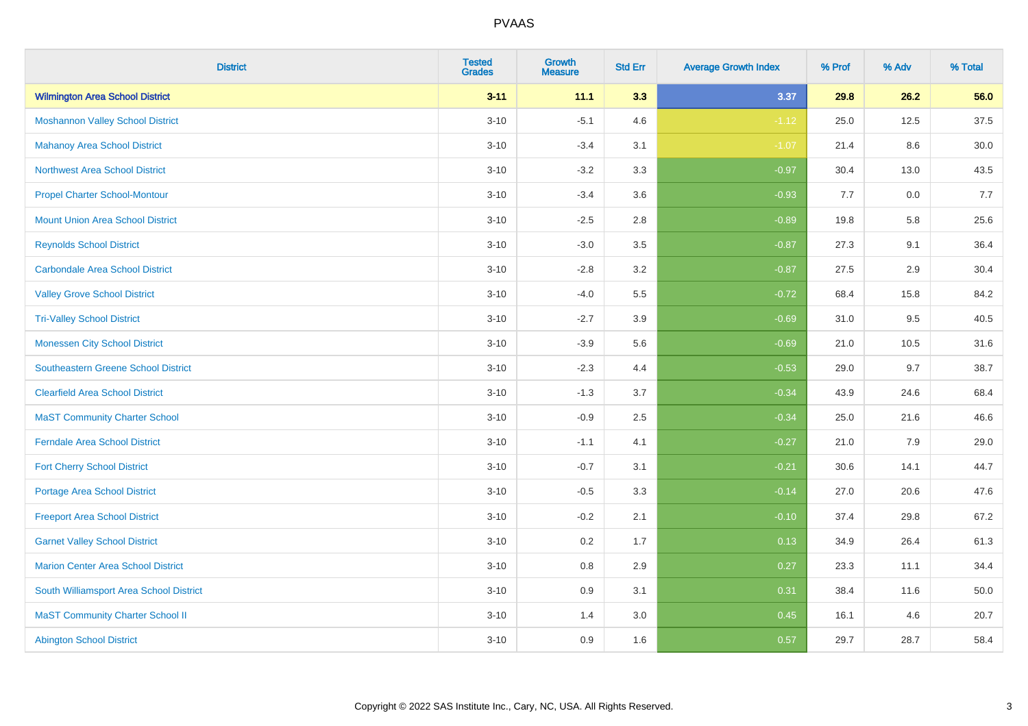| <b>District</b>                            | <b>Tested</b><br><b>Grades</b> | <b>Growth</b><br><b>Measure</b> | <b>Std Err</b> | <b>Average Growth Index</b> | % Prof | % Adv | % Total |
|--------------------------------------------|--------------------------------|---------------------------------|----------------|-----------------------------|--------|-------|---------|
| <b>Wilmington Area School District</b>     | $3 - 11$                       | 11.1                            | 3.3            | 3.37                        | 29.8   | 26.2  | 56.0    |
| <b>Moshannon Valley School District</b>    | $3 - 10$                       | $-5.1$                          | 4.6            | $-1.12$                     | 25.0   | 12.5  | 37.5    |
| <b>Mahanoy Area School District</b>        | $3 - 10$                       | $-3.4$                          | 3.1            | $-1.07$                     | 21.4   | 8.6   | 30.0    |
| <b>Northwest Area School District</b>      | $3 - 10$                       | $-3.2$                          | 3.3            | $-0.97$                     | 30.4   | 13.0  | 43.5    |
| <b>Propel Charter School-Montour</b>       | $3 - 10$                       | $-3.4$                          | 3.6            | $-0.93$                     | 7.7    | 0.0   | 7.7     |
| <b>Mount Union Area School District</b>    | $3 - 10$                       | $-2.5$                          | 2.8            | $-0.89$                     | 19.8   | 5.8   | 25.6    |
| <b>Reynolds School District</b>            | $3 - 10$                       | $-3.0$                          | 3.5            | $-0.87$                     | 27.3   | 9.1   | 36.4    |
| <b>Carbondale Area School District</b>     | $3 - 10$                       | $-2.8$                          | 3.2            | $-0.87$                     | 27.5   | 2.9   | 30.4    |
| <b>Valley Grove School District</b>        | $3 - 10$                       | $-4.0$                          | 5.5            | $-0.72$                     | 68.4   | 15.8  | 84.2    |
| <b>Tri-Valley School District</b>          | $3 - 10$                       | $-2.7$                          | 3.9            | $-0.69$                     | 31.0   | 9.5   | 40.5    |
| <b>Monessen City School District</b>       | $3 - 10$                       | $-3.9$                          | 5.6            | $-0.69$                     | 21.0   | 10.5  | 31.6    |
| <b>Southeastern Greene School District</b> | $3 - 10$                       | $-2.3$                          | 4.4            | $-0.53$                     | 29.0   | 9.7   | 38.7    |
| <b>Clearfield Area School District</b>     | $3 - 10$                       | $-1.3$                          | 3.7            | $-0.34$                     | 43.9   | 24.6  | 68.4    |
| <b>MaST Community Charter School</b>       | $3 - 10$                       | $-0.9$                          | 2.5            | $-0.34$                     | 25.0   | 21.6  | 46.6    |
| <b>Ferndale Area School District</b>       | $3 - 10$                       | $-1.1$                          | 4.1            | $-0.27$                     | 21.0   | 7.9   | 29.0    |
| <b>Fort Cherry School District</b>         | $3 - 10$                       | $-0.7$                          | 3.1            | $-0.21$                     | 30.6   | 14.1  | 44.7    |
| <b>Portage Area School District</b>        | $3 - 10$                       | $-0.5$                          | 3.3            | $-0.14$                     | 27.0   | 20.6  | 47.6    |
| <b>Freeport Area School District</b>       | $3 - 10$                       | $-0.2$                          | 2.1            | $-0.10$                     | 37.4   | 29.8  | 67.2    |
| <b>Garnet Valley School District</b>       | $3 - 10$                       | 0.2                             | 1.7            | 0.13                        | 34.9   | 26.4  | 61.3    |
| Marion Center Area School District         | $3 - 10$                       | 0.8                             | 2.9            | 0.27                        | 23.3   | 11.1  | 34.4    |
| South Williamsport Area School District    | $3 - 10$                       | 0.9                             | 3.1            | 0.31                        | 38.4   | 11.6  | 50.0    |
| <b>MaST Community Charter School II</b>    | $3 - 10$                       | 1.4                             | 3.0            | 0.45                        | 16.1   | 4.6   | 20.7    |
| <b>Abington School District</b>            | $3 - 10$                       | 0.9                             | 1.6            | 0.57                        | 29.7   | 28.7  | 58.4    |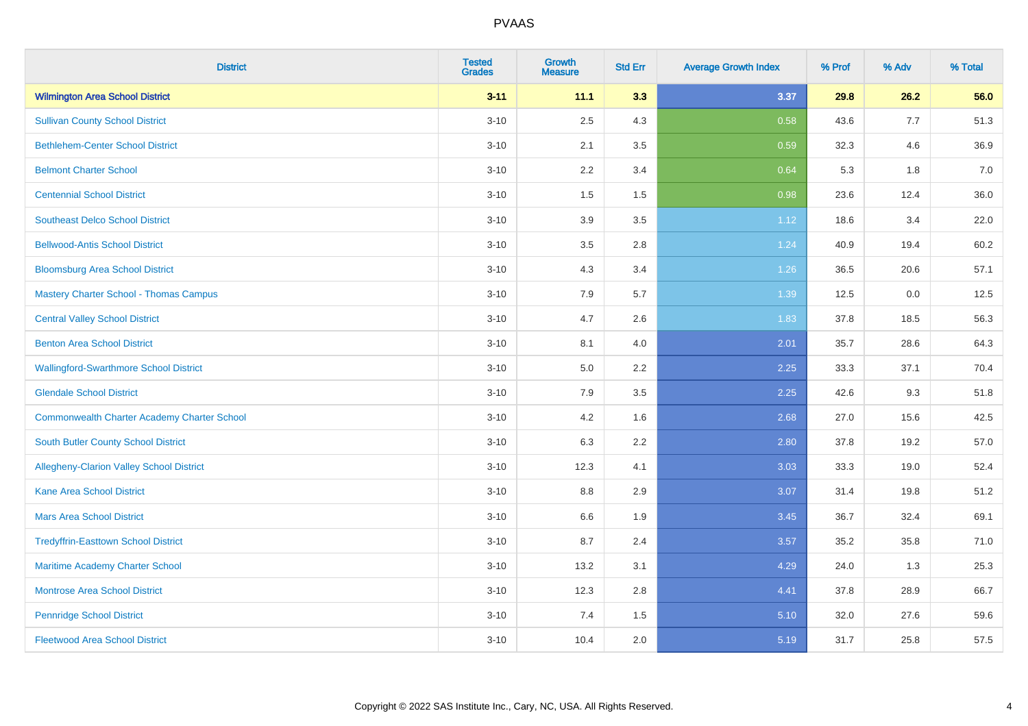| <b>District</b>                                    | <b>Tested</b><br><b>Grades</b> | <b>Growth</b><br><b>Measure</b> | <b>Std Err</b> | <b>Average Growth Index</b> | % Prof | % Adv | % Total |
|----------------------------------------------------|--------------------------------|---------------------------------|----------------|-----------------------------|--------|-------|---------|
| <b>Wilmington Area School District</b>             | $3 - 11$                       | 11.1                            | 3.3            | 3.37                        | 29.8   | 26.2  | 56.0    |
| <b>Sullivan County School District</b>             | $3 - 10$                       | 2.5                             | 4.3            | 0.58                        | 43.6   | 7.7   | 51.3    |
| <b>Bethlehem-Center School District</b>            | $3 - 10$                       | 2.1                             | 3.5            | 0.59                        | 32.3   | 4.6   | 36.9    |
| <b>Belmont Charter School</b>                      | $3 - 10$                       | 2.2                             | 3.4            | 0.64                        | 5.3    | 1.8   | 7.0     |
| <b>Centennial School District</b>                  | $3 - 10$                       | 1.5                             | 1.5            | 0.98                        | 23.6   | 12.4  | 36.0    |
| <b>Southeast Delco School District</b>             | $3 - 10$                       | 3.9                             | 3.5            | 1.12                        | 18.6   | 3.4   | 22.0    |
| <b>Bellwood-Antis School District</b>              | $3 - 10$                       | 3.5                             | 2.8            | 1.24                        | 40.9   | 19.4  | 60.2    |
| <b>Bloomsburg Area School District</b>             | $3 - 10$                       | 4.3                             | 3.4            | 1.26                        | 36.5   | 20.6  | 57.1    |
| <b>Mastery Charter School - Thomas Campus</b>      | $3 - 10$                       | 7.9                             | 5.7            | 1.39                        | 12.5   | 0.0   | 12.5    |
| <b>Central Valley School District</b>              | $3 - 10$                       | 4.7                             | 2.6            | 1.83                        | 37.8   | 18.5  | 56.3    |
| <b>Benton Area School District</b>                 | $3 - 10$                       | 8.1                             | 4.0            | 2.01                        | 35.7   | 28.6  | 64.3    |
| <b>Wallingford-Swarthmore School District</b>      | $3 - 10$                       | 5.0                             | 2.2            | 2.25                        | 33.3   | 37.1  | 70.4    |
| <b>Glendale School District</b>                    | $3 - 10$                       | 7.9                             | 3.5            | 2.25                        | 42.6   | 9.3   | 51.8    |
| <b>Commonwealth Charter Academy Charter School</b> | $3 - 10$                       | 4.2                             | 1.6            | 2.68                        | 27.0   | 15.6  | 42.5    |
| South Butler County School District                | $3 - 10$                       | 6.3                             | 2.2            | 2.80                        | 37.8   | 19.2  | 57.0    |
| Allegheny-Clarion Valley School District           | $3 - 10$                       | 12.3                            | 4.1            | 3.03                        | 33.3   | 19.0  | 52.4    |
| <b>Kane Area School District</b>                   | $3 - 10$                       | 8.8                             | 2.9            | 3.07                        | 31.4   | 19.8  | 51.2    |
| <b>Mars Area School District</b>                   | $3 - 10$                       | 6.6                             | 1.9            | 3.45                        | 36.7   | 32.4  | 69.1    |
| <b>Tredyffrin-Easttown School District</b>         | $3 - 10$                       | 8.7                             | 2.4            | 3.57                        | 35.2   | 35.8  | 71.0    |
| Maritime Academy Charter School                    | $3 - 10$                       | 13.2                            | 3.1            | 4.29                        | 24.0   | 1.3   | 25.3    |
| <b>Montrose Area School District</b>               | $3 - 10$                       | 12.3                            | 2.8            | 4.41                        | 37.8   | 28.9  | 66.7    |
| <b>Pennridge School District</b>                   | $3 - 10$                       | 7.4                             | 1.5            | 5.10                        | 32.0   | 27.6  | 59.6    |
| <b>Fleetwood Area School District</b>              | $3 - 10$                       | 10.4                            | 2.0            | 5.19                        | 31.7   | 25.8  | 57.5    |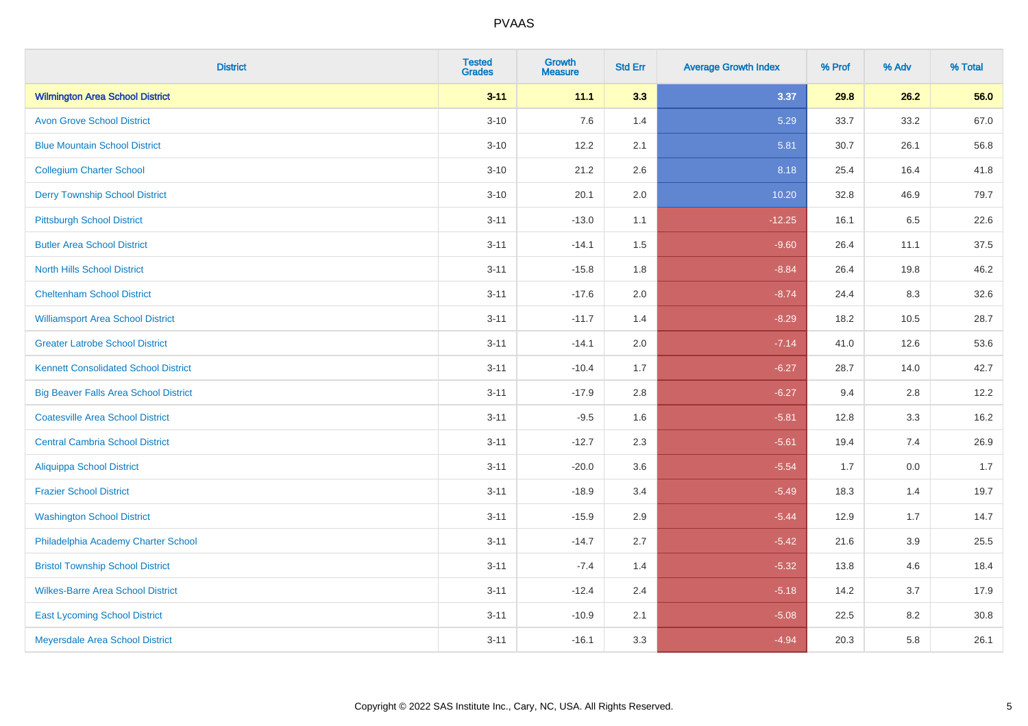| <b>District</b>                              | <b>Tested</b><br><b>Grades</b> | <b>Growth</b><br><b>Measure</b> | <b>Std Err</b> | <b>Average Growth Index</b> | % Prof | % Adv | % Total |
|----------------------------------------------|--------------------------------|---------------------------------|----------------|-----------------------------|--------|-------|---------|
| <b>Wilmington Area School District</b>       | $3 - 11$                       | 11.1                            | 3.3            | 3.37                        | 29.8   | 26.2  | 56.0    |
| <b>Avon Grove School District</b>            | $3 - 10$                       | 7.6                             | 1.4            | 5.29                        | 33.7   | 33.2  | 67.0    |
| <b>Blue Mountain School District</b>         | $3 - 10$                       | 12.2                            | 2.1            | 5.81                        | 30.7   | 26.1  | 56.8    |
| <b>Collegium Charter School</b>              | $3 - 10$                       | 21.2                            | 2.6            | 8.18                        | 25.4   | 16.4  | 41.8    |
| <b>Derry Township School District</b>        | $3 - 10$                       | 20.1                            | 2.0            | 10.20                       | 32.8   | 46.9  | 79.7    |
| <b>Pittsburgh School District</b>            | $3 - 11$                       | $-13.0$                         | 1.1            | $-12.25$                    | 16.1   | 6.5   | 22.6    |
| <b>Butler Area School District</b>           | $3 - 11$                       | $-14.1$                         | 1.5            | $-9.60$                     | 26.4   | 11.1  | 37.5    |
| <b>North Hills School District</b>           | $3 - 11$                       | $-15.8$                         | 1.8            | $-8.84$                     | 26.4   | 19.8  | 46.2    |
| <b>Cheltenham School District</b>            | $3 - 11$                       | $-17.6$                         | 2.0            | $-8.74$                     | 24.4   | 8.3   | 32.6    |
| <b>Williamsport Area School District</b>     | $3 - 11$                       | $-11.7$                         | 1.4            | $-8.29$                     | 18.2   | 10.5  | 28.7    |
| <b>Greater Latrobe School District</b>       | $3 - 11$                       | $-14.1$                         | 2.0            | $-7.14$                     | 41.0   | 12.6  | 53.6    |
| <b>Kennett Consolidated School District</b>  | $3 - 11$                       | $-10.4$                         | 1.7            | $-6.27$                     | 28.7   | 14.0  | 42.7    |
| <b>Big Beaver Falls Area School District</b> | $3 - 11$                       | $-17.9$                         | 2.8            | $-6.27$                     | 9.4    | 2.8   | 12.2    |
| <b>Coatesville Area School District</b>      | $3 - 11$                       | $-9.5$                          | 1.6            | $-5.81$                     | 12.8   | 3.3   | 16.2    |
| <b>Central Cambria School District</b>       | $3 - 11$                       | $-12.7$                         | 2.3            | $-5.61$                     | 19.4   | 7.4   | 26.9    |
| <b>Aliquippa School District</b>             | $3 - 11$                       | $-20.0$                         | 3.6            | $-5.54$                     | 1.7    | 0.0   | 1.7     |
| <b>Frazier School District</b>               | $3 - 11$                       | $-18.9$                         | 3.4            | $-5.49$                     | 18.3   | 1.4   | 19.7    |
| <b>Washington School District</b>            | $3 - 11$                       | $-15.9$                         | 2.9            | $-5.44$                     | 12.9   | 1.7   | 14.7    |
| Philadelphia Academy Charter School          | $3 - 11$                       | $-14.7$                         | 2.7            | $-5.42$                     | 21.6   | 3.9   | 25.5    |
| <b>Bristol Township School District</b>      | $3 - 11$                       | $-7.4$                          | 1.4            | $-5.32$                     | 13.8   | 4.6   | 18.4    |
| <b>Wilkes-Barre Area School District</b>     | $3 - 11$                       | $-12.4$                         | 2.4            | $-5.18$                     | 14.2   | 3.7   | 17.9    |
| <b>East Lycoming School District</b>         | $3 - 11$                       | $-10.9$                         | 2.1            | $-5.08$                     | 22.5   | 8.2   | 30.8    |
| Meyersdale Area School District              | $3 - 11$                       | $-16.1$                         | 3.3            | $-4.94$                     | 20.3   | 5.8   | 26.1    |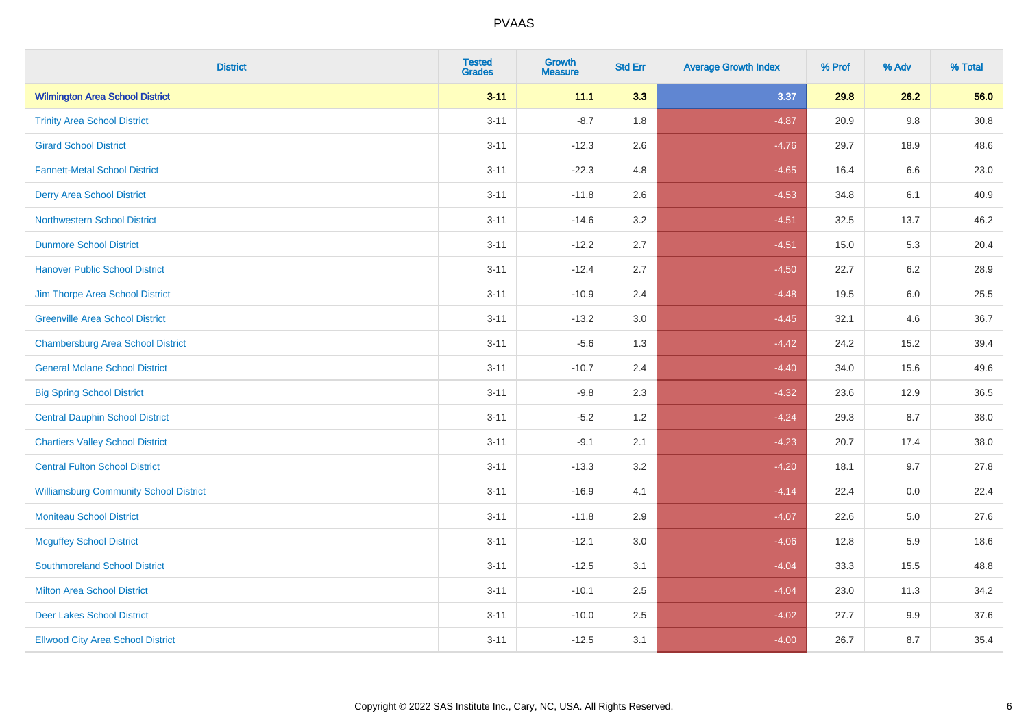| <b>District</b>                               | <b>Tested</b><br><b>Grades</b> | <b>Growth</b><br><b>Measure</b> | <b>Std Err</b> | <b>Average Growth Index</b> | % Prof | % Adv   | % Total |
|-----------------------------------------------|--------------------------------|---------------------------------|----------------|-----------------------------|--------|---------|---------|
| <b>Wilmington Area School District</b>        | $3 - 11$                       | 11.1                            | 3.3            | 3.37                        | 29.8   | 26.2    | 56.0    |
| <b>Trinity Area School District</b>           | $3 - 11$                       | $-8.7$                          | 1.8            | $-4.87$                     | 20.9   | 9.8     | 30.8    |
| <b>Girard School District</b>                 | $3 - 11$                       | $-12.3$                         | 2.6            | $-4.76$                     | 29.7   | 18.9    | 48.6    |
| <b>Fannett-Metal School District</b>          | $3 - 11$                       | $-22.3$                         | 4.8            | $-4.65$                     | 16.4   | 6.6     | 23.0    |
| <b>Derry Area School District</b>             | $3 - 11$                       | $-11.8$                         | 2.6            | $-4.53$                     | 34.8   | 6.1     | 40.9    |
| <b>Northwestern School District</b>           | $3 - 11$                       | $-14.6$                         | 3.2            | $-4.51$                     | 32.5   | 13.7    | 46.2    |
| <b>Dunmore School District</b>                | $3 - 11$                       | $-12.2$                         | 2.7            | $-4.51$                     | 15.0   | 5.3     | 20.4    |
| <b>Hanover Public School District</b>         | $3 - 11$                       | $-12.4$                         | 2.7            | $-4.50$                     | 22.7   | 6.2     | 28.9    |
| Jim Thorpe Area School District               | $3 - 11$                       | $-10.9$                         | 2.4            | $-4.48$                     | 19.5   | $6.0\,$ | 25.5    |
| <b>Greenville Area School District</b>        | $3 - 11$                       | $-13.2$                         | 3.0            | $-4.45$                     | 32.1   | 4.6     | 36.7    |
| <b>Chambersburg Area School District</b>      | $3 - 11$                       | $-5.6$                          | 1.3            | $-4.42$                     | 24.2   | 15.2    | 39.4    |
| <b>General Mclane School District</b>         | $3 - 11$                       | $-10.7$                         | 2.4            | $-4.40$                     | 34.0   | 15.6    | 49.6    |
| <b>Big Spring School District</b>             | $3 - 11$                       | $-9.8$                          | 2.3            | $-4.32$                     | 23.6   | 12.9    | 36.5    |
| <b>Central Dauphin School District</b>        | $3 - 11$                       | $-5.2$                          | 1.2            | $-4.24$                     | 29.3   | 8.7     | 38.0    |
| <b>Chartiers Valley School District</b>       | $3 - 11$                       | $-9.1$                          | 2.1            | $-4.23$                     | 20.7   | 17.4    | 38.0    |
| <b>Central Fulton School District</b>         | $3 - 11$                       | $-13.3$                         | 3.2            | $-4.20$                     | 18.1   | 9.7     | 27.8    |
| <b>Williamsburg Community School District</b> | $3 - 11$                       | $-16.9$                         | 4.1            | $-4.14$                     | 22.4   | $0.0\,$ | 22.4    |
| <b>Moniteau School District</b>               | $3 - 11$                       | $-11.8$                         | 2.9            | $-4.07$                     | 22.6   | 5.0     | 27.6    |
| <b>Mcguffey School District</b>               | $3 - 11$                       | $-12.1$                         | 3.0            | $-4.06$                     | 12.8   | 5.9     | 18.6    |
| <b>Southmoreland School District</b>          | $3 - 11$                       | $-12.5$                         | 3.1            | $-4.04$                     | 33.3   | 15.5    | 48.8    |
| <b>Milton Area School District</b>            | $3 - 11$                       | $-10.1$                         | 2.5            | $-4.04$                     | 23.0   | 11.3    | 34.2    |
| <b>Deer Lakes School District</b>             | $3 - 11$                       | $-10.0$                         | 2.5            | $-4.02$                     | 27.7   | 9.9     | 37.6    |
| <b>Ellwood City Area School District</b>      | $3 - 11$                       | $-12.5$                         | 3.1            | $-4.00$                     | 26.7   | 8.7     | 35.4    |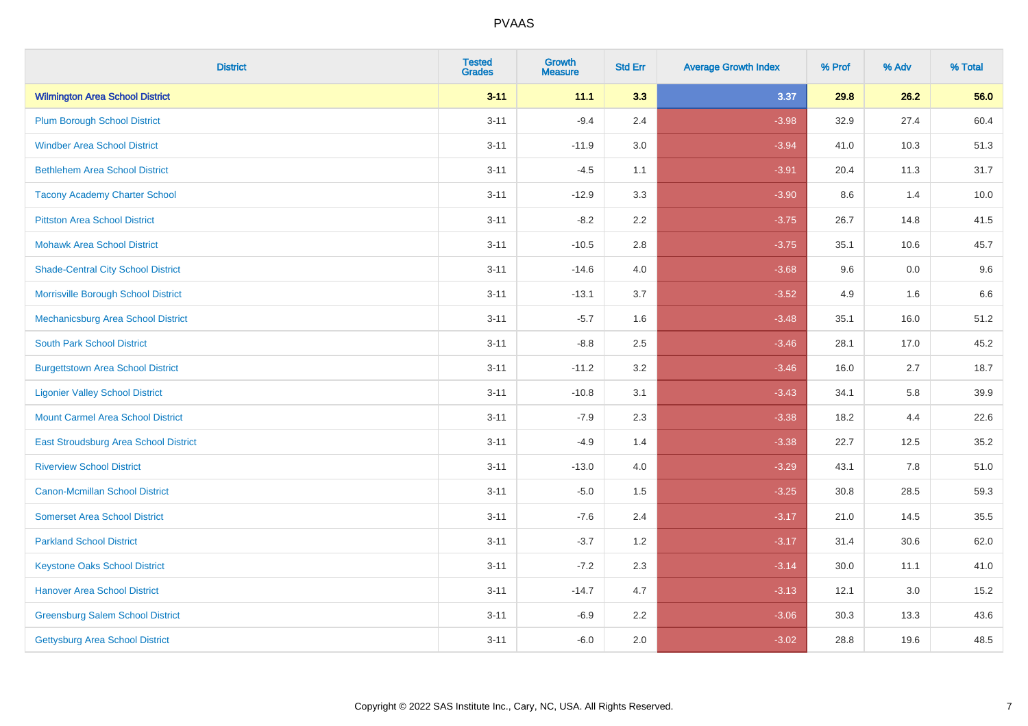| <b>District</b>                           | <b>Tested</b><br><b>Grades</b> | <b>Growth</b><br><b>Measure</b> | <b>Std Err</b> | <b>Average Growth Index</b> | % Prof | % Adv | % Total |
|-------------------------------------------|--------------------------------|---------------------------------|----------------|-----------------------------|--------|-------|---------|
| <b>Wilmington Area School District</b>    | $3 - 11$                       | 11.1                            | 3.3            | 3.37                        | 29.8   | 26.2  | 56.0    |
| <b>Plum Borough School District</b>       | $3 - 11$                       | $-9.4$                          | 2.4            | $-3.98$                     | 32.9   | 27.4  | 60.4    |
| <b>Windber Area School District</b>       | $3 - 11$                       | $-11.9$                         | 3.0            | $-3.94$                     | 41.0   | 10.3  | 51.3    |
| <b>Bethlehem Area School District</b>     | $3 - 11$                       | $-4.5$                          | 1.1            | $-3.91$                     | 20.4   | 11.3  | 31.7    |
| <b>Tacony Academy Charter School</b>      | $3 - 11$                       | $-12.9$                         | 3.3            | $-3.90$                     | 8.6    | 1.4   | 10.0    |
| <b>Pittston Area School District</b>      | $3 - 11$                       | $-8.2$                          | 2.2            | $-3.75$                     | 26.7   | 14.8  | 41.5    |
| <b>Mohawk Area School District</b>        | $3 - 11$                       | $-10.5$                         | 2.8            | $-3.75$                     | 35.1   | 10.6  | 45.7    |
| <b>Shade-Central City School District</b> | $3 - 11$                       | $-14.6$                         | 4.0            | $-3.68$                     | 9.6    | 0.0   | 9.6     |
| Morrisville Borough School District       | $3 - 11$                       | $-13.1$                         | 3.7            | $-3.52$                     | 4.9    | 1.6   | 6.6     |
| Mechanicsburg Area School District        | $3 - 11$                       | $-5.7$                          | 1.6            | $-3.48$                     | 35.1   | 16.0  | 51.2    |
| <b>South Park School District</b>         | $3 - 11$                       | $-8.8$                          | 2.5            | $-3.46$                     | 28.1   | 17.0  | 45.2    |
| <b>Burgettstown Area School District</b>  | $3 - 11$                       | $-11.2$                         | 3.2            | $-3.46$                     | 16.0   | 2.7   | 18.7    |
| <b>Ligonier Valley School District</b>    | $3 - 11$                       | $-10.8$                         | 3.1            | $-3.43$                     | 34.1   | 5.8   | 39.9    |
| <b>Mount Carmel Area School District</b>  | $3 - 11$                       | $-7.9$                          | 2.3            | $-3.38$                     | 18.2   | 4.4   | 22.6    |
| East Stroudsburg Area School District     | $3 - 11$                       | $-4.9$                          | 1.4            | $-3.38$                     | 22.7   | 12.5  | 35.2    |
| <b>Riverview School District</b>          | $3 - 11$                       | $-13.0$                         | 4.0            | $-3.29$                     | 43.1   | 7.8   | 51.0    |
| <b>Canon-Mcmillan School District</b>     | $3 - 11$                       | $-5.0$                          | 1.5            | $-3.25$                     | 30.8   | 28.5  | 59.3    |
| <b>Somerset Area School District</b>      | $3 - 11$                       | $-7.6$                          | 2.4            | $-3.17$                     | 21.0   | 14.5  | 35.5    |
| <b>Parkland School District</b>           | $3 - 11$                       | $-3.7$                          | 1.2            | $-3.17$                     | 31.4   | 30.6  | 62.0    |
| <b>Keystone Oaks School District</b>      | $3 - 11$                       | $-7.2$                          | 2.3            | $-3.14$                     | 30.0   | 11.1  | 41.0    |
| <b>Hanover Area School District</b>       | $3 - 11$                       | $-14.7$                         | 4.7            | $-3.13$                     | 12.1   | 3.0   | 15.2    |
| <b>Greensburg Salem School District</b>   | $3 - 11$                       | $-6.9$                          | 2.2            | $-3.06$                     | 30.3   | 13.3  | 43.6    |
| Gettysburg Area School District           | $3 - 11$                       | $-6.0$                          | 2.0            | $-3.02$                     | 28.8   | 19.6  | 48.5    |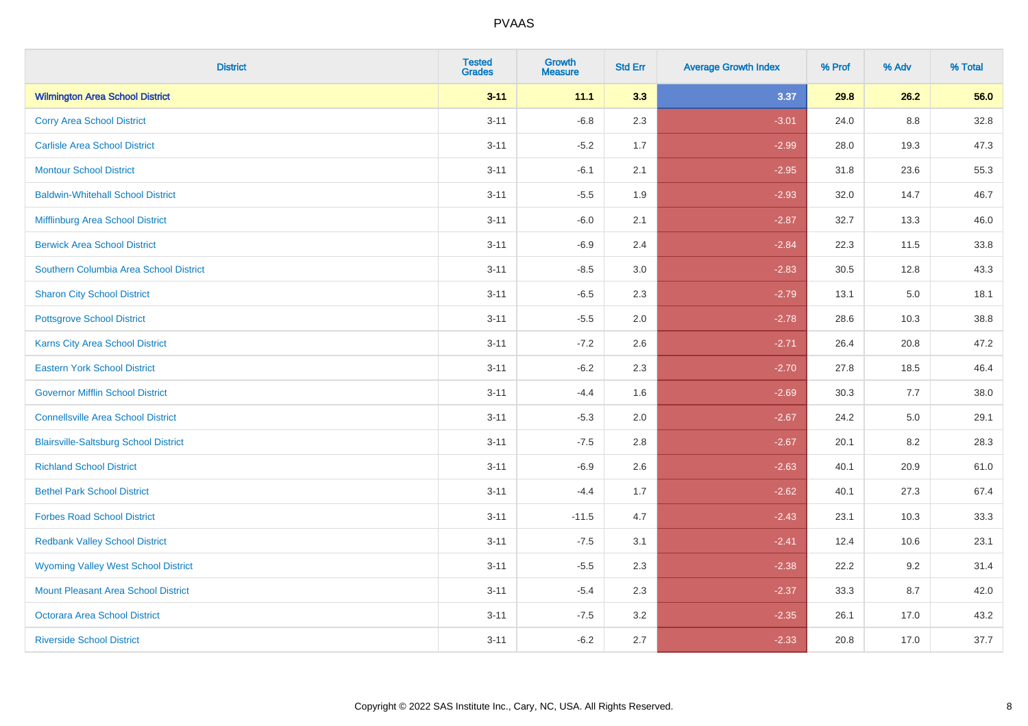| <b>District</b>                              | <b>Tested</b><br><b>Grades</b> | <b>Growth</b><br><b>Measure</b> | <b>Std Err</b> | <b>Average Growth Index</b> | % Prof | % Adv   | % Total |
|----------------------------------------------|--------------------------------|---------------------------------|----------------|-----------------------------|--------|---------|---------|
| <b>Wilmington Area School District</b>       | $3 - 11$                       | 11.1                            | 3.3            | 3.37                        | 29.8   | 26.2    | 56.0    |
| <b>Corry Area School District</b>            | $3 - 11$                       | $-6.8$                          | 2.3            | $-3.01$                     | 24.0   | $8.8\,$ | 32.8    |
| <b>Carlisle Area School District</b>         | $3 - 11$                       | $-5.2$                          | 1.7            | $-2.99$                     | 28.0   | 19.3    | 47.3    |
| <b>Montour School District</b>               | $3 - 11$                       | $-6.1$                          | 2.1            | $-2.95$                     | 31.8   | 23.6    | 55.3    |
| <b>Baldwin-Whitehall School District</b>     | $3 - 11$                       | $-5.5$                          | 1.9            | $-2.93$                     | 32.0   | 14.7    | 46.7    |
| Mifflinburg Area School District             | $3 - 11$                       | $-6.0$                          | 2.1            | $-2.87$                     | 32.7   | 13.3    | 46.0    |
| <b>Berwick Area School District</b>          | $3 - 11$                       | $-6.9$                          | 2.4            | $-2.84$                     | 22.3   | 11.5    | 33.8    |
| Southern Columbia Area School District       | $3 - 11$                       | $-8.5$                          | 3.0            | $-2.83$                     | 30.5   | 12.8    | 43.3    |
| <b>Sharon City School District</b>           | $3 - 11$                       | $-6.5$                          | 2.3            | $-2.79$                     | 13.1   | 5.0     | 18.1    |
| <b>Pottsgrove School District</b>            | $3 - 11$                       | $-5.5$                          | 2.0            | $-2.78$                     | 28.6   | 10.3    | 38.8    |
| <b>Karns City Area School District</b>       | $3 - 11$                       | $-7.2$                          | 2.6            | $-2.71$                     | 26.4   | 20.8    | 47.2    |
| <b>Eastern York School District</b>          | $3 - 11$                       | $-6.2$                          | 2.3            | $-2.70$                     | 27.8   | 18.5    | 46.4    |
| <b>Governor Mifflin School District</b>      | $3 - 11$                       | $-4.4$                          | 1.6            | $-2.69$                     | 30.3   | 7.7     | 38.0    |
| <b>Connellsville Area School District</b>    | $3 - 11$                       | $-5.3$                          | 2.0            | $-2.67$                     | 24.2   | $5.0\,$ | 29.1    |
| <b>Blairsville-Saltsburg School District</b> | $3 - 11$                       | $-7.5$                          | 2.8            | $-2.67$                     | 20.1   | 8.2     | 28.3    |
| <b>Richland School District</b>              | $3 - 11$                       | $-6.9$                          | 2.6            | $-2.63$                     | 40.1   | 20.9    | 61.0    |
| <b>Bethel Park School District</b>           | $3 - 11$                       | $-4.4$                          | 1.7            | $-2.62$                     | 40.1   | 27.3    | 67.4    |
| <b>Forbes Road School District</b>           | $3 - 11$                       | $-11.5$                         | 4.7            | $-2.43$                     | 23.1   | 10.3    | 33.3    |
| <b>Redbank Valley School District</b>        | $3 - 11$                       | $-7.5$                          | 3.1            | $-2.41$                     | 12.4   | 10.6    | 23.1    |
| <b>Wyoming Valley West School District</b>   | $3 - 11$                       | $-5.5$                          | 2.3            | $-2.38$                     | 22.2   | 9.2     | 31.4    |
| Mount Pleasant Area School District          | $3 - 11$                       | $-5.4$                          | 2.3            | $-2.37$                     | 33.3   | 8.7     | 42.0    |
| <b>Octorara Area School District</b>         | $3 - 11$                       | $-7.5$                          | 3.2            | $-2.35$                     | 26.1   | 17.0    | 43.2    |
| <b>Riverside School District</b>             | $3 - 11$                       | $-6.2$                          | 2.7            | $-2.33$                     | 20.8   | 17.0    | 37.7    |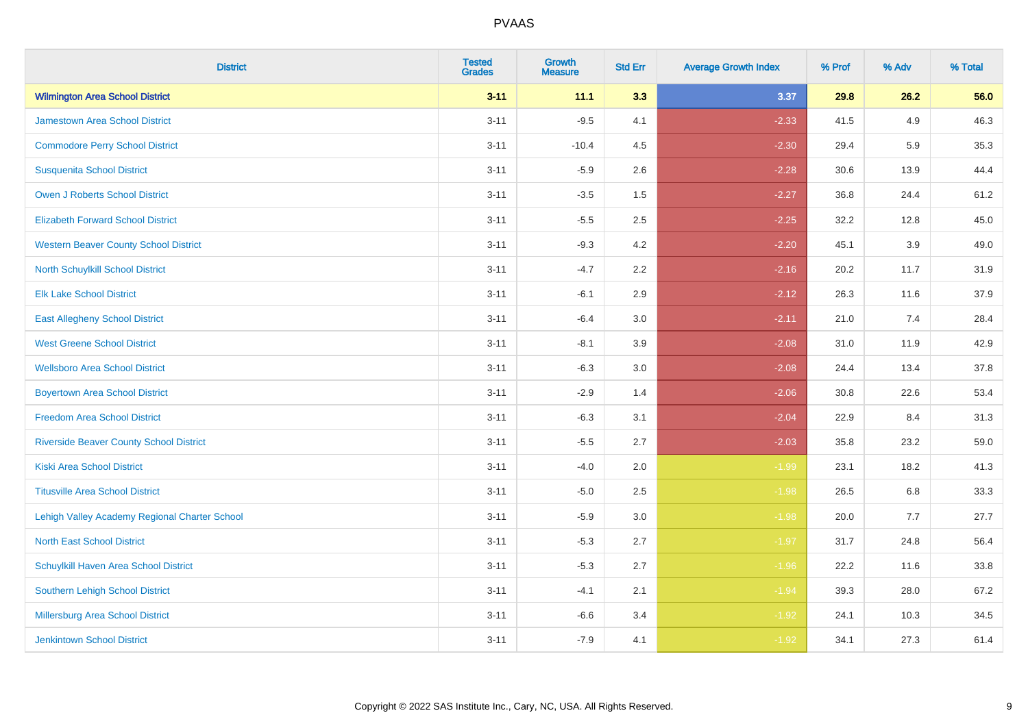| <b>District</b>                                | <b>Tested</b><br><b>Grades</b> | <b>Growth</b><br><b>Measure</b> | <b>Std Err</b> | <b>Average Growth Index</b> | % Prof | % Adv | % Total |
|------------------------------------------------|--------------------------------|---------------------------------|----------------|-----------------------------|--------|-------|---------|
| <b>Wilmington Area School District</b>         | $3 - 11$                       | 11.1                            | 3.3            | 3.37                        | 29.8   | 26.2  | 56.0    |
| <b>Jamestown Area School District</b>          | $3 - 11$                       | $-9.5$                          | 4.1            | $-2.33$                     | 41.5   | 4.9   | 46.3    |
| <b>Commodore Perry School District</b>         | $3 - 11$                       | $-10.4$                         | 4.5            | $-2.30$                     | 29.4   | 5.9   | 35.3    |
| <b>Susquenita School District</b>              | $3 - 11$                       | $-5.9$                          | 2.6            | $-2.28$                     | 30.6   | 13.9  | 44.4    |
| <b>Owen J Roberts School District</b>          | $3 - 11$                       | $-3.5$                          | 1.5            | $-2.27$                     | 36.8   | 24.4  | 61.2    |
| <b>Elizabeth Forward School District</b>       | $3 - 11$                       | $-5.5$                          | 2.5            | $-2.25$                     | 32.2   | 12.8  | 45.0    |
| <b>Western Beaver County School District</b>   | $3 - 11$                       | $-9.3$                          | 4.2            | $-2.20$                     | 45.1   | 3.9   | 49.0    |
| North Schuylkill School District               | $3 - 11$                       | $-4.7$                          | 2.2            | $-2.16$                     | 20.2   | 11.7  | 31.9    |
| <b>Elk Lake School District</b>                | $3 - 11$                       | $-6.1$                          | 2.9            | $-2.12$                     | 26.3   | 11.6  | 37.9    |
| <b>East Allegheny School District</b>          | $3 - 11$                       | $-6.4$                          | 3.0            | $-2.11$                     | 21.0   | 7.4   | 28.4    |
| <b>West Greene School District</b>             | $3 - 11$                       | $-8.1$                          | 3.9            | $-2.08$                     | 31.0   | 11.9  | 42.9    |
| <b>Wellsboro Area School District</b>          | $3 - 11$                       | $-6.3$                          | 3.0            | $-2.08$                     | 24.4   | 13.4  | 37.8    |
| <b>Boyertown Area School District</b>          | $3 - 11$                       | $-2.9$                          | 1.4            | $-2.06$                     | 30.8   | 22.6  | 53.4    |
| <b>Freedom Area School District</b>            | $3 - 11$                       | $-6.3$                          | 3.1            | $-2.04$                     | 22.9   | 8.4   | 31.3    |
| <b>Riverside Beaver County School District</b> | $3 - 11$                       | $-5.5$                          | 2.7            | $-2.03$                     | 35.8   | 23.2  | 59.0    |
| <b>Kiski Area School District</b>              | $3 - 11$                       | $-4.0$                          | 2.0            | $-1.99$                     | 23.1   | 18.2  | 41.3    |
| <b>Titusville Area School District</b>         | $3 - 11$                       | $-5.0$                          | 2.5            | $-1.98$                     | 26.5   | 6.8   | 33.3    |
| Lehigh Valley Academy Regional Charter School  | $3 - 11$                       | $-5.9$                          | 3.0            | $-1.98$                     | 20.0   | 7.7   | 27.7    |
| <b>North East School District</b>              | $3 - 11$                       | $-5.3$                          | 2.7            | $-1.97$                     | 31.7   | 24.8  | 56.4    |
| Schuylkill Haven Area School District          | $3 - 11$                       | $-5.3$                          | 2.7            | $-1.96$                     | 22.2   | 11.6  | 33.8    |
| Southern Lehigh School District                | $3 - 11$                       | $-4.1$                          | 2.1            | $-1.94$                     | 39.3   | 28.0  | 67.2    |
| Millersburg Area School District               | $3 - 11$                       | $-6.6$                          | 3.4            | $-1.92$                     | 24.1   | 10.3  | 34.5    |
| <b>Jenkintown School District</b>              | $3 - 11$                       | $-7.9$                          | 4.1            | $-1.92$                     | 34.1   | 27.3  | 61.4    |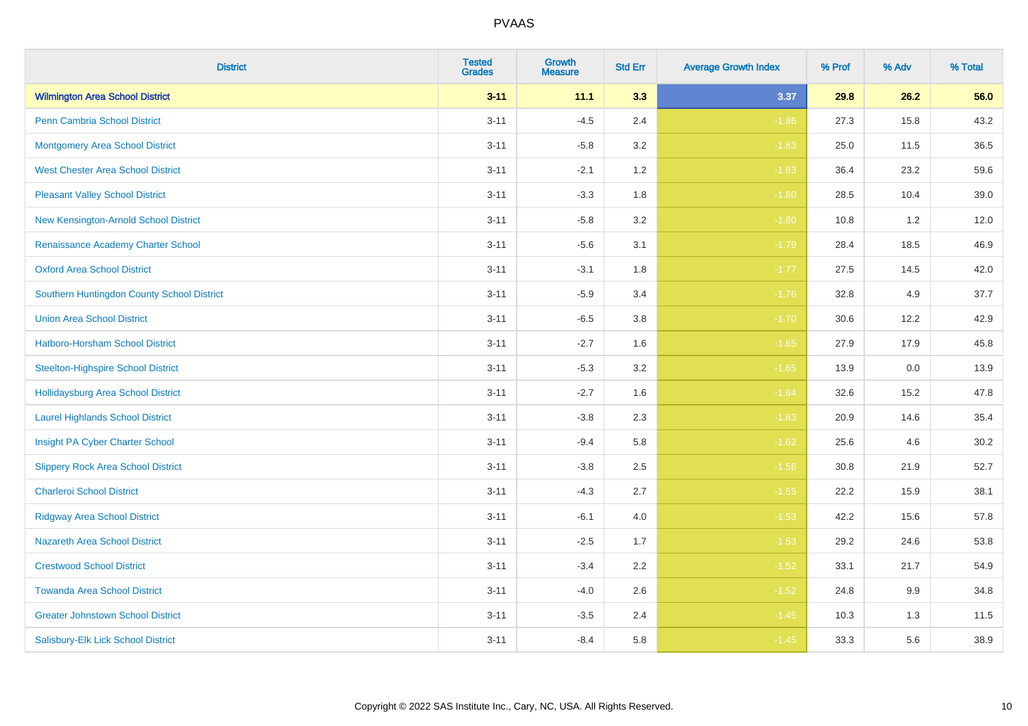| <b>District</b>                            | <b>Tested</b><br><b>Grades</b> | <b>Growth</b><br><b>Measure</b> | <b>Std Err</b> | <b>Average Growth Index</b> | % Prof | % Adv | % Total |
|--------------------------------------------|--------------------------------|---------------------------------|----------------|-----------------------------|--------|-------|---------|
| <b>Wilmington Area School District</b>     | $3 - 11$                       | 11.1                            | 3.3            | 3.37                        | 29.8   | 26.2  | 56.0    |
| <b>Penn Cambria School District</b>        | $3 - 11$                       | $-4.5$                          | 2.4            | $-1.86$                     | 27.3   | 15.8  | 43.2    |
| <b>Montgomery Area School District</b>     | $3 - 11$                       | $-5.8$                          | 3.2            | $-1.83$                     | 25.0   | 11.5  | 36.5    |
| <b>West Chester Area School District</b>   | $3 - 11$                       | $-2.1$                          | 1.2            | $-1.83$                     | 36.4   | 23.2  | 59.6    |
| <b>Pleasant Valley School District</b>     | $3 - 11$                       | $-3.3$                          | 1.8            | $-1.80$                     | 28.5   | 10.4  | 39.0    |
| New Kensington-Arnold School District      | $3 - 11$                       | $-5.8$                          | 3.2            | $-1.80$                     | 10.8   | 1.2   | 12.0    |
| Renaissance Academy Charter School         | $3 - 11$                       | $-5.6$                          | 3.1            | $-1.79$                     | 28.4   | 18.5  | 46.9    |
| <b>Oxford Area School District</b>         | $3 - 11$                       | $-3.1$                          | 1.8            | $-1.77$                     | 27.5   | 14.5  | 42.0    |
| Southern Huntingdon County School District | $3 - 11$                       | $-5.9$                          | 3.4            | $-1.76$                     | 32.8   | 4.9   | 37.7    |
| <b>Union Area School District</b>          | $3 - 11$                       | $-6.5$                          | 3.8            | $-1.70$                     | 30.6   | 12.2  | 42.9    |
| Hatboro-Horsham School District            | $3 - 11$                       | $-2.7$                          | 1.6            | $-1.65$                     | 27.9   | 17.9  | 45.8    |
| <b>Steelton-Highspire School District</b>  | $3 - 11$                       | $-5.3$                          | 3.2            | $-1.65$                     | 13.9   | 0.0   | 13.9    |
| Hollidaysburg Area School District         | $3 - 11$                       | $-2.7$                          | 1.6            | $-1.64$                     | 32.6   | 15.2  | 47.8    |
| <b>Laurel Highlands School District</b>    | $3 - 11$                       | $-3.8$                          | 2.3            | $-1.63$                     | 20.9   | 14.6  | 35.4    |
| Insight PA Cyber Charter School            | $3 - 11$                       | $-9.4$                          | 5.8            | $-1.62$                     | 25.6   | 4.6   | 30.2    |
| <b>Slippery Rock Area School District</b>  | $3 - 11$                       | $-3.8$                          | 2.5            | $-1.56$                     | 30.8   | 21.9  | 52.7    |
| <b>Charleroi School District</b>           | $3 - 11$                       | $-4.3$                          | 2.7            | $-1.55$                     | 22.2   | 15.9  | 38.1    |
| <b>Ridgway Area School District</b>        | $3 - 11$                       | $-6.1$                          | 4.0            | $-1.53$                     | 42.2   | 15.6  | 57.8    |
| <b>Nazareth Area School District</b>       | $3 - 11$                       | $-2.5$                          | 1.7            | $-1.53$                     | 29.2   | 24.6  | 53.8    |
| <b>Crestwood School District</b>           | $3 - 11$                       | $-3.4$                          | 2.2            | $-1.52$                     | 33.1   | 21.7  | 54.9    |
| <b>Towanda Area School District</b>        | $3 - 11$                       | $-4.0$                          | 2.6            | $-1.52$                     | 24.8   | 9.9   | 34.8    |
| <b>Greater Johnstown School District</b>   | $3 - 11$                       | $-3.5$                          | 2.4            | $-1.45$                     | 10.3   | 1.3   | 11.5    |
| Salisbury-Elk Lick School District         | $3 - 11$                       | $-8.4$                          | 5.8            | $-1.45$                     | 33.3   | 5.6   | 38.9    |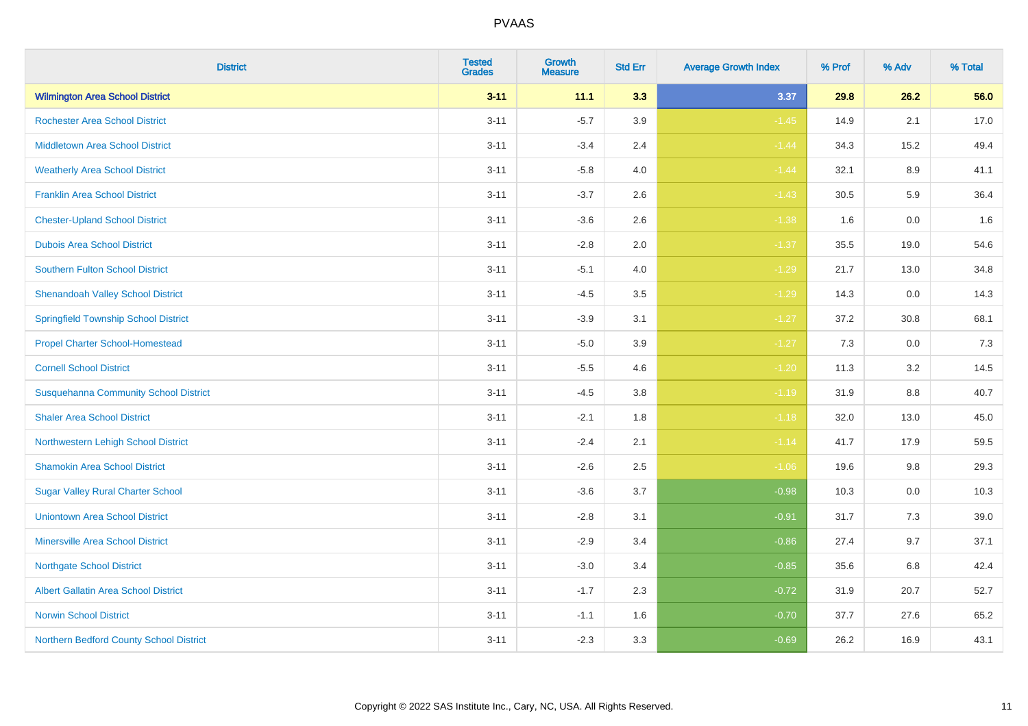| <b>District</b>                              | <b>Tested</b><br><b>Grades</b> | <b>Growth</b><br><b>Measure</b> | <b>Std Err</b> | <b>Average Growth Index</b> | % Prof | % Adv   | % Total |
|----------------------------------------------|--------------------------------|---------------------------------|----------------|-----------------------------|--------|---------|---------|
| <b>Wilmington Area School District</b>       | $3 - 11$                       | 11.1                            | 3.3            | 3.37                        | 29.8   | 26.2    | 56.0    |
| <b>Rochester Area School District</b>        | $3 - 11$                       | $-5.7$                          | 3.9            | $-1.45$                     | 14.9   | 2.1     | 17.0    |
| <b>Middletown Area School District</b>       | $3 - 11$                       | $-3.4$                          | 2.4            | $-1.44$                     | 34.3   | 15.2    | 49.4    |
| <b>Weatherly Area School District</b>        | $3 - 11$                       | $-5.8$                          | 4.0            | $-1.44$                     | 32.1   | 8.9     | 41.1    |
| <b>Franklin Area School District</b>         | $3 - 11$                       | $-3.7$                          | 2.6            | $-1.43$                     | 30.5   | 5.9     | 36.4    |
| <b>Chester-Upland School District</b>        | $3 - 11$                       | $-3.6$                          | 2.6            | $-1.38$                     | 1.6    | 0.0     | 1.6     |
| <b>Dubois Area School District</b>           | $3 - 11$                       | $-2.8$                          | 2.0            | $-1.37$                     | 35.5   | 19.0    | 54.6    |
| <b>Southern Fulton School District</b>       | $3 - 11$                       | $-5.1$                          | 4.0            | $-1.29$                     | 21.7   | 13.0    | 34.8    |
| <b>Shenandoah Valley School District</b>     | $3 - 11$                       | $-4.5$                          | 3.5            | $-1.29$                     | 14.3   | 0.0     | 14.3    |
| <b>Springfield Township School District</b>  | $3 - 11$                       | $-3.9$                          | 3.1            | $-1.27$                     | 37.2   | 30.8    | 68.1    |
| <b>Propel Charter School-Homestead</b>       | $3 - 11$                       | $-5.0$                          | 3.9            | $-1.27$                     | 7.3    | 0.0     | 7.3     |
| <b>Cornell School District</b>               | $3 - 11$                       | $-5.5$                          | 4.6            | $-1.20$                     | 11.3   | 3.2     | 14.5    |
| <b>Susquehanna Community School District</b> | $3 - 11$                       | $-4.5$                          | $3.8\,$        | $-1.19$                     | 31.9   | $8.8\,$ | 40.7    |
| <b>Shaler Area School District</b>           | $3 - 11$                       | $-2.1$                          | 1.8            | $-1.18$                     | 32.0   | 13.0    | 45.0    |
| Northwestern Lehigh School District          | $3 - 11$                       | $-2.4$                          | 2.1            | $-1.14$                     | 41.7   | 17.9    | 59.5    |
| <b>Shamokin Area School District</b>         | $3 - 11$                       | $-2.6$                          | 2.5            | $-1.06$                     | 19.6   | $9.8\,$ | 29.3    |
| <b>Sugar Valley Rural Charter School</b>     | $3 - 11$                       | $-3.6$                          | 3.7            | $-0.98$                     | 10.3   | 0.0     | 10.3    |
| <b>Uniontown Area School District</b>        | $3 - 11$                       | $-2.8$                          | 3.1            | $-0.91$                     | 31.7   | 7.3     | 39.0    |
| <b>Minersville Area School District</b>      | $3 - 11$                       | $-2.9$                          | 3.4            | $-0.86$                     | 27.4   | 9.7     | 37.1    |
| <b>Northgate School District</b>             | $3 - 11$                       | $-3.0$                          | 3.4            | $-0.85$                     | 35.6   | 6.8     | 42.4    |
| Albert Gallatin Area School District         | $3 - 11$                       | $-1.7$                          | 2.3            | $-0.72$                     | 31.9   | 20.7    | 52.7    |
| <b>Norwin School District</b>                | $3 - 11$                       | $-1.1$                          | 1.6            | $-0.70$                     | 37.7   | 27.6    | 65.2    |
| Northern Bedford County School District      | $3 - 11$                       | $-2.3$                          | 3.3            | $-0.69$                     | 26.2   | 16.9    | 43.1    |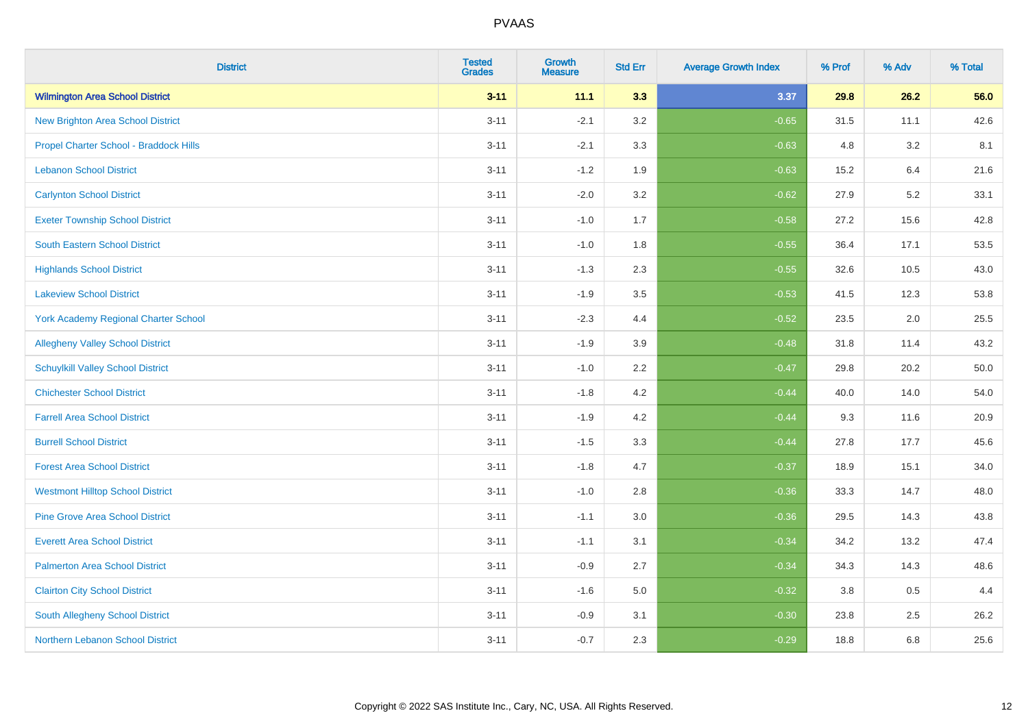| <b>District</b>                             | <b>Tested</b><br><b>Grades</b> | <b>Growth</b><br><b>Measure</b> | <b>Std Err</b> | <b>Average Growth Index</b> | % Prof | % Adv | % Total |
|---------------------------------------------|--------------------------------|---------------------------------|----------------|-----------------------------|--------|-------|---------|
| <b>Wilmington Area School District</b>      | $3 - 11$                       | 11.1                            | 3.3            | 3.37                        | 29.8   | 26.2  | 56.0    |
| <b>New Brighton Area School District</b>    | $3 - 11$                       | $-2.1$                          | 3.2            | $-0.65$                     | 31.5   | 11.1  | 42.6    |
| Propel Charter School - Braddock Hills      | $3 - 11$                       | $-2.1$                          | 3.3            | $-0.63$                     | 4.8    | 3.2   | 8.1     |
| <b>Lebanon School District</b>              | $3 - 11$                       | $-1.2$                          | 1.9            | $-0.63$                     | 15.2   | 6.4   | 21.6    |
| <b>Carlynton School District</b>            | $3 - 11$                       | $-2.0$                          | 3.2            | $-0.62$                     | 27.9   | 5.2   | 33.1    |
| <b>Exeter Township School District</b>      | $3 - 11$                       | $-1.0$                          | 1.7            | $-0.58$                     | 27.2   | 15.6  | 42.8    |
| <b>South Eastern School District</b>        | $3 - 11$                       | $-1.0$                          | 1.8            | $-0.55$                     | 36.4   | 17.1  | 53.5    |
| <b>Highlands School District</b>            | $3 - 11$                       | $-1.3$                          | 2.3            | $-0.55$                     | 32.6   | 10.5  | 43.0    |
| <b>Lakeview School District</b>             | $3 - 11$                       | $-1.9$                          | 3.5            | $-0.53$                     | 41.5   | 12.3  | 53.8    |
| <b>York Academy Regional Charter School</b> | $3 - 11$                       | $-2.3$                          | 4.4            | $-0.52$                     | 23.5   | 2.0   | 25.5    |
| <b>Allegheny Valley School District</b>     | $3 - 11$                       | $-1.9$                          | 3.9            | $-0.48$                     | 31.8   | 11.4  | 43.2    |
| <b>Schuylkill Valley School District</b>    | $3 - 11$                       | $-1.0$                          | 2.2            | $-0.47$                     | 29.8   | 20.2  | 50.0    |
| <b>Chichester School District</b>           | $3 - 11$                       | $-1.8$                          | $4.2\,$        | $-0.44$                     | 40.0   | 14.0  | 54.0    |
| <b>Farrell Area School District</b>         | $3 - 11$                       | $-1.9$                          | 4.2            | $-0.44$                     | 9.3    | 11.6  | 20.9    |
| <b>Burrell School District</b>              | $3 - 11$                       | $-1.5$                          | 3.3            | $-0.44$                     | 27.8   | 17.7  | 45.6    |
| <b>Forest Area School District</b>          | $3 - 11$                       | $-1.8$                          | 4.7            | $-0.37$                     | 18.9   | 15.1  | 34.0    |
| <b>Westmont Hilltop School District</b>     | $3 - 11$                       | $-1.0$                          | 2.8            | $-0.36$                     | 33.3   | 14.7  | 48.0    |
| <b>Pine Grove Area School District</b>      | $3 - 11$                       | $-1.1$                          | 3.0            | $-0.36$                     | 29.5   | 14.3  | 43.8    |
| <b>Everett Area School District</b>         | $3 - 11$                       | $-1.1$                          | 3.1            | $-0.34$                     | 34.2   | 13.2  | 47.4    |
| <b>Palmerton Area School District</b>       | $3 - 11$                       | $-0.9$                          | 2.7            | $-0.34$                     | 34.3   | 14.3  | 48.6    |
| <b>Clairton City School District</b>        | $3 - 11$                       | $-1.6$                          | 5.0            | $-0.32$                     | 3.8    | 0.5   | 4.4     |
| South Allegheny School District             | $3 - 11$                       | $-0.9$                          | 3.1            | $-0.30$                     | 23.8   | 2.5   | 26.2    |
| Northern Lebanon School District            | $3 - 11$                       | $-0.7$                          | 2.3            | $-0.29$                     | 18.8   | 6.8   | 25.6    |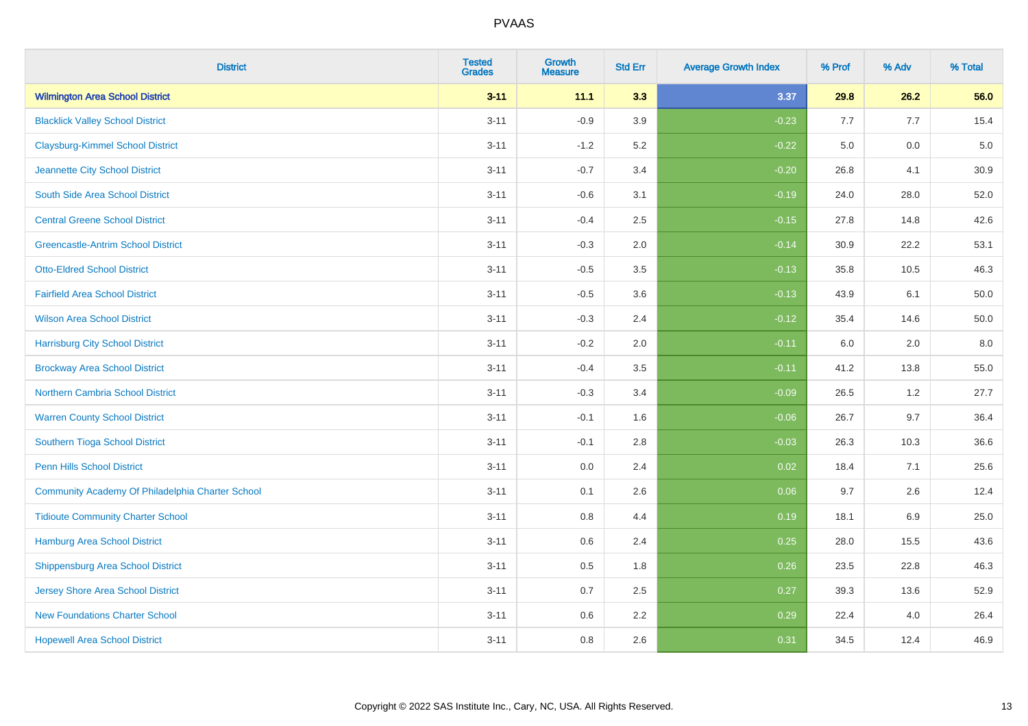| <b>District</b>                                  | <b>Tested</b><br><b>Grades</b> | <b>Growth</b><br><b>Measure</b> | <b>Std Err</b> | <b>Average Growth Index</b> | % Prof | % Adv | % Total |
|--------------------------------------------------|--------------------------------|---------------------------------|----------------|-----------------------------|--------|-------|---------|
| <b>Wilmington Area School District</b>           | $3 - 11$                       | 11.1                            | 3.3            | 3.37                        | 29.8   | 26.2  | 56.0    |
| <b>Blacklick Valley School District</b>          | $3 - 11$                       | $-0.9$                          | 3.9            | $-0.23$                     | 7.7    | 7.7   | 15.4    |
| <b>Claysburg-Kimmel School District</b>          | $3 - 11$                       | $-1.2$                          | 5.2            | $-0.22$                     | 5.0    | 0.0   | $5.0$   |
| Jeannette City School District                   | $3 - 11$                       | $-0.7$                          | 3.4            | $-0.20$                     | 26.8   | 4.1   | 30.9    |
| South Side Area School District                  | $3 - 11$                       | $-0.6$                          | 3.1            | $-0.19$                     | 24.0   | 28.0  | 52.0    |
| <b>Central Greene School District</b>            | $3 - 11$                       | $-0.4$                          | 2.5            | $-0.15$                     | 27.8   | 14.8  | 42.6    |
| <b>Greencastle-Antrim School District</b>        | $3 - 11$                       | $-0.3$                          | 2.0            | $-0.14$                     | 30.9   | 22.2  | 53.1    |
| <b>Otto-Eldred School District</b>               | $3 - 11$                       | $-0.5$                          | 3.5            | $-0.13$                     | 35.8   | 10.5  | 46.3    |
| <b>Fairfield Area School District</b>            | $3 - 11$                       | $-0.5$                          | 3.6            | $-0.13$                     | 43.9   | 6.1   | 50.0    |
| <b>Wilson Area School District</b>               | $3 - 11$                       | $-0.3$                          | 2.4            | $-0.12$                     | 35.4   | 14.6  | 50.0    |
| <b>Harrisburg City School District</b>           | $3 - 11$                       | $-0.2$                          | 2.0            | $-0.11$                     | 6.0    | 2.0   | 8.0     |
| <b>Brockway Area School District</b>             | $3 - 11$                       | $-0.4$                          | 3.5            | $-0.11$                     | 41.2   | 13.8  | 55.0    |
| Northern Cambria School District                 | $3 - 11$                       | $-0.3$                          | 3.4            | $-0.09$                     | 26.5   | 1.2   | 27.7    |
| <b>Warren County School District</b>             | $3 - 11$                       | $-0.1$                          | 1.6            | $-0.06$                     | 26.7   | 9.7   | 36.4    |
| Southern Tioga School District                   | $3 - 11$                       | $-0.1$                          | 2.8            | $-0.03$                     | 26.3   | 10.3  | 36.6    |
| Penn Hills School District                       | $3 - 11$                       | 0.0                             | 2.4            | 0.02                        | 18.4   | 7.1   | 25.6    |
| Community Academy Of Philadelphia Charter School | $3 - 11$                       | 0.1                             | 2.6            | 0.06                        | 9.7    | 2.6   | 12.4    |
| <b>Tidioute Community Charter School</b>         | $3 - 11$                       | 0.8                             | 4.4            | 0.19                        | 18.1   | 6.9   | 25.0    |
| Hamburg Area School District                     | $3 - 11$                       | 0.6                             | 2.4            | 0.25                        | 28.0   | 15.5  | 43.6    |
| <b>Shippensburg Area School District</b>         | $3 - 11$                       | 0.5                             | 1.8            | 0.26                        | 23.5   | 22.8  | 46.3    |
| Jersey Shore Area School District                | $3 - 11$                       | 0.7                             | 2.5            | 0.27                        | 39.3   | 13.6  | 52.9    |
| <b>New Foundations Charter School</b>            | $3 - 11$                       | 0.6                             | 2.2            | 0.29                        | 22.4   | 4.0   | 26.4    |
| <b>Hopewell Area School District</b>             | $3 - 11$                       | 0.8                             | 2.6            | 0.31                        | 34.5   | 12.4  | 46.9    |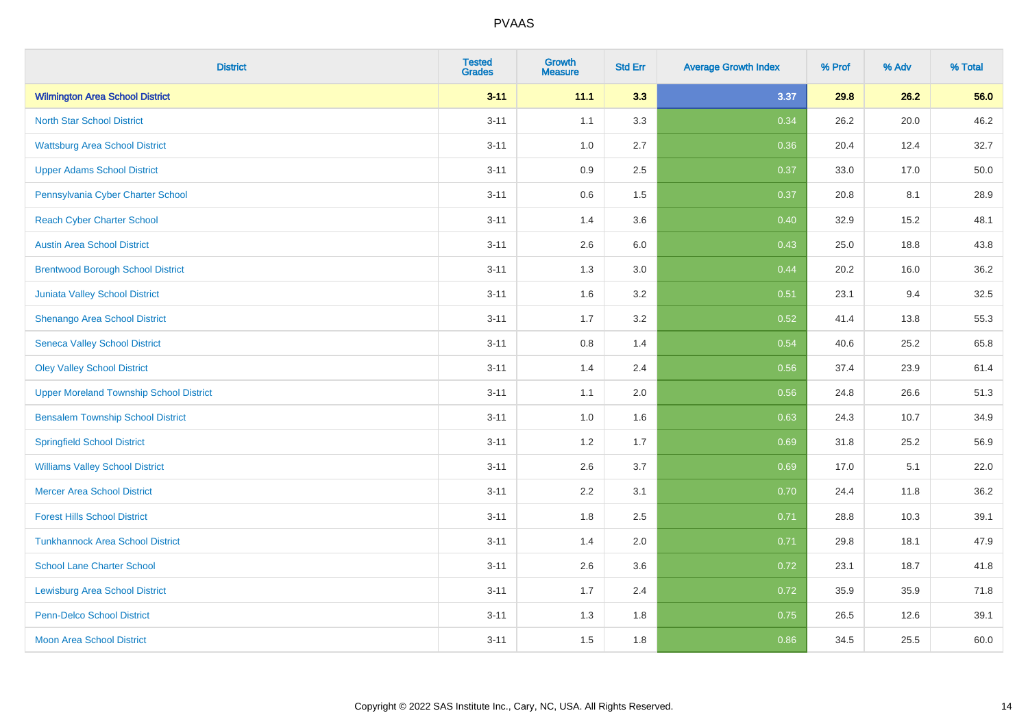| <b>District</b>                                | <b>Tested</b><br><b>Grades</b> | <b>Growth</b><br><b>Measure</b> | <b>Std Err</b> | <b>Average Growth Index</b> | % Prof | % Adv | % Total |
|------------------------------------------------|--------------------------------|---------------------------------|----------------|-----------------------------|--------|-------|---------|
| <b>Wilmington Area School District</b>         | $3 - 11$                       | 11.1                            | 3.3            | 3.37                        | 29.8   | 26.2  | 56.0    |
| <b>North Star School District</b>              | $3 - 11$                       | 1.1                             | 3.3            | 0.34                        | 26.2   | 20.0  | 46.2    |
| <b>Wattsburg Area School District</b>          | $3 - 11$                       | 1.0                             | 2.7            | 0.36                        | 20.4   | 12.4  | 32.7    |
| <b>Upper Adams School District</b>             | $3 - 11$                       | 0.9                             | 2.5            | 0.37                        | 33.0   | 17.0  | 50.0    |
| Pennsylvania Cyber Charter School              | $3 - 11$                       | 0.6                             | 1.5            | 0.37                        | 20.8   | 8.1   | 28.9    |
| <b>Reach Cyber Charter School</b>              | $3 - 11$                       | 1.4                             | 3.6            | 0.40                        | 32.9   | 15.2  | 48.1    |
| <b>Austin Area School District</b>             | $3 - 11$                       | 2.6                             | 6.0            | 0.43                        | 25.0   | 18.8  | 43.8    |
| <b>Brentwood Borough School District</b>       | $3 - 11$                       | 1.3                             | 3.0            | 0.44                        | 20.2   | 16.0  | 36.2    |
| Juniata Valley School District                 | $3 - 11$                       | 1.6                             | 3.2            | 0.51                        | 23.1   | 9.4   | 32.5    |
| Shenango Area School District                  | $3 - 11$                       | 1.7                             | 3.2            | 0.52                        | 41.4   | 13.8  | 55.3    |
| <b>Seneca Valley School District</b>           | $3 - 11$                       | 0.8                             | 1.4            | 0.54                        | 40.6   | 25.2  | 65.8    |
| <b>Oley Valley School District</b>             | $3 - 11$                       | 1.4                             | 2.4            | 0.56                        | 37.4   | 23.9  | 61.4    |
| <b>Upper Moreland Township School District</b> | $3 - 11$                       | 1.1                             | 2.0            | 0.56                        | 24.8   | 26.6  | 51.3    |
| <b>Bensalem Township School District</b>       | $3 - 11$                       | 1.0                             | 1.6            | 0.63                        | 24.3   | 10.7  | 34.9    |
| <b>Springfield School District</b>             | $3 - 11$                       | 1.2                             | 1.7            | 0.69                        | 31.8   | 25.2  | 56.9    |
| <b>Williams Valley School District</b>         | $3 - 11$                       | 2.6                             | 3.7            | 0.69                        | 17.0   | 5.1   | 22.0    |
| <b>Mercer Area School District</b>             | $3 - 11$                       | $2.2\,$                         | 3.1            | 0.70                        | 24.4   | 11.8  | 36.2    |
| <b>Forest Hills School District</b>            | $3 - 11$                       | 1.8                             | 2.5            | 0.71                        | 28.8   | 10.3  | 39.1    |
| <b>Tunkhannock Area School District</b>        | $3 - 11$                       | 1.4                             | 2.0            | 0.71                        | 29.8   | 18.1  | 47.9    |
| <b>School Lane Charter School</b>              | $3 - 11$                       | 2.6                             | 3.6            | 0.72                        | 23.1   | 18.7  | 41.8    |
| <b>Lewisburg Area School District</b>          | $3 - 11$                       | 1.7                             | 2.4            | 0.72                        | 35.9   | 35.9  | 71.8    |
| <b>Penn-Delco School District</b>              | $3 - 11$                       | 1.3                             | 1.8            | 0.75                        | 26.5   | 12.6  | 39.1    |
| <b>Moon Area School District</b>               | $3 - 11$                       | 1.5                             | 1.8            | 0.86                        | 34.5   | 25.5  | 60.0    |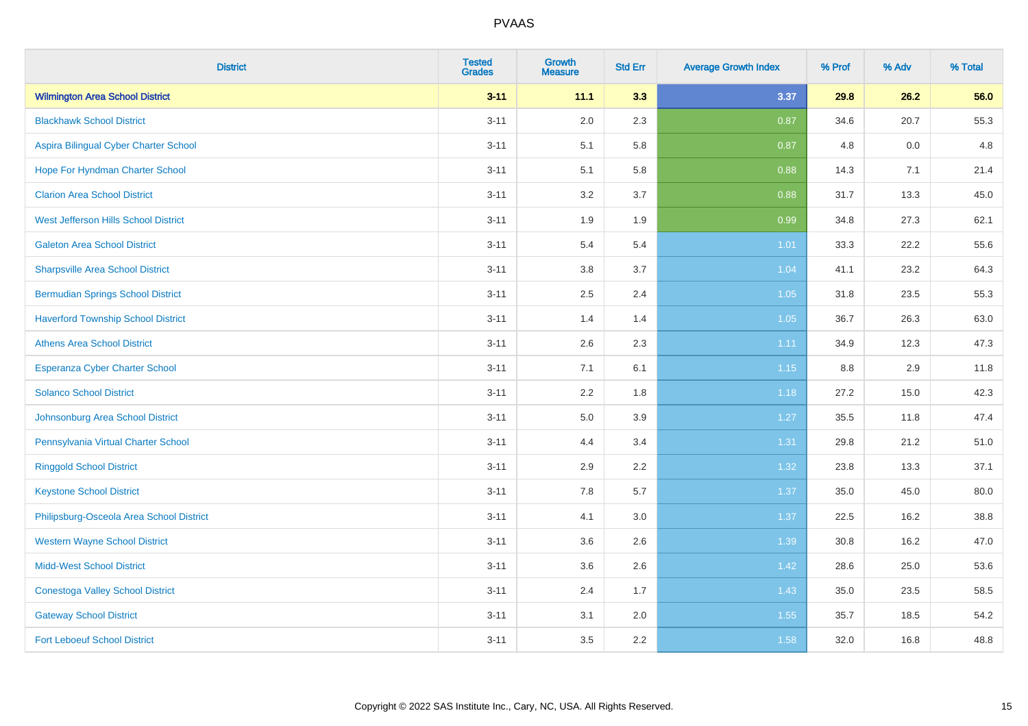| <b>District</b>                           | <b>Tested</b><br><b>Grades</b> | <b>Growth</b><br><b>Measure</b> | <b>Std Err</b> | <b>Average Growth Index</b> | % Prof | % Adv | % Total |
|-------------------------------------------|--------------------------------|---------------------------------|----------------|-----------------------------|--------|-------|---------|
| <b>Wilmington Area School District</b>    | $3 - 11$                       | 11.1                            | 3.3            | 3.37                        | 29.8   | 26.2  | 56.0    |
| <b>Blackhawk School District</b>          | $3 - 11$                       | 2.0                             | 2.3            | 0.87                        | 34.6   | 20.7  | 55.3    |
| Aspira Bilingual Cyber Charter School     | $3 - 11$                       | 5.1                             | 5.8            | 0.87                        | 4.8    | 0.0   | 4.8     |
| Hope For Hyndman Charter School           | $3 - 11$                       | 5.1                             | 5.8            | 0.88                        | 14.3   | 7.1   | 21.4    |
| <b>Clarion Area School District</b>       | $3 - 11$                       | 3.2                             | 3.7            | 0.88                        | 31.7   | 13.3  | 45.0    |
| West Jefferson Hills School District      | $3 - 11$                       | 1.9                             | 1.9            | 0.99                        | 34.8   | 27.3  | 62.1    |
| <b>Galeton Area School District</b>       | $3 - 11$                       | 5.4                             | 5.4            | $1.01$                      | 33.3   | 22.2  | 55.6    |
| <b>Sharpsville Area School District</b>   | $3 - 11$                       | 3.8                             | 3.7            | 1.04                        | 41.1   | 23.2  | 64.3    |
| <b>Bermudian Springs School District</b>  | $3 - 11$                       | 2.5                             | 2.4            | 1.05                        | 31.8   | 23.5  | 55.3    |
| <b>Haverford Township School District</b> | $3 - 11$                       | 1.4                             | 1.4            | 1.05                        | 36.7   | 26.3  | 63.0    |
| <b>Athens Area School District</b>        | $3 - 11$                       | 2.6                             | 2.3            | 1.11                        | 34.9   | 12.3  | 47.3    |
| Esperanza Cyber Charter School            | $3 - 11$                       | 7.1                             | 6.1            | 1.15                        | 8.8    | 2.9   | 11.8    |
| <b>Solanco School District</b>            | $3 - 11$                       | 2.2                             | 1.8            | 1.18                        | 27.2   | 15.0  | 42.3    |
| Johnsonburg Area School District          | $3 - 11$                       | 5.0                             | 3.9            | 1.27                        | 35.5   | 11.8  | 47.4    |
| Pennsylvania Virtual Charter School       | $3 - 11$                       | 4.4                             | 3.4            | 1.31                        | 29.8   | 21.2  | 51.0    |
| <b>Ringgold School District</b>           | $3 - 11$                       | 2.9                             | 2.2            | 1.32                        | 23.8   | 13.3  | 37.1    |
| <b>Keystone School District</b>           | $3 - 11$                       | 7.8                             | 5.7            | 1.37                        | 35.0   | 45.0  | 80.0    |
| Philipsburg-Osceola Area School District  | $3 - 11$                       | 4.1                             | 3.0            | 1.37                        | 22.5   | 16.2  | 38.8    |
| <b>Western Wayne School District</b>      | $3 - 11$                       | 3.6                             | 2.6            | 1.39                        | 30.8   | 16.2  | 47.0    |
| <b>Midd-West School District</b>          | $3 - 11$                       | 3.6                             | 2.6            | 1.42                        | 28.6   | 25.0  | 53.6    |
| <b>Conestoga Valley School District</b>   | $3 - 11$                       | 2.4                             | 1.7            | 1.43                        | 35.0   | 23.5  | 58.5    |
| <b>Gateway School District</b>            | $3 - 11$                       | 3.1                             | 2.0            | 1.55                        | 35.7   | 18.5  | 54.2    |
| <b>Fort Leboeuf School District</b>       | $3 - 11$                       | 3.5                             | 2.2            | 1.58                        | 32.0   | 16.8  | 48.8    |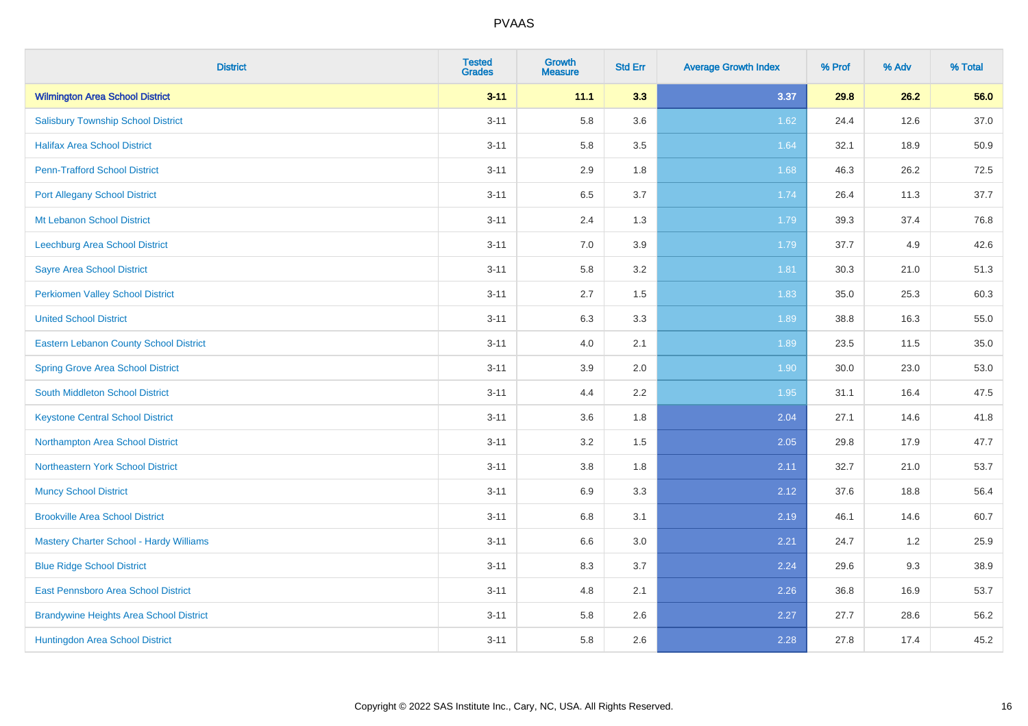| <b>District</b>                                | <b>Tested</b><br><b>Grades</b> | <b>Growth</b><br><b>Measure</b> | <b>Std Err</b> | <b>Average Growth Index</b> | % Prof | % Adv | % Total |
|------------------------------------------------|--------------------------------|---------------------------------|----------------|-----------------------------|--------|-------|---------|
| <b>Wilmington Area School District</b>         | $3 - 11$                       | 11.1                            | 3.3            | 3.37                        | 29.8   | 26.2  | 56.0    |
| <b>Salisbury Township School District</b>      | $3 - 11$                       | 5.8                             | 3.6            | 1.62                        | 24.4   | 12.6  | 37.0    |
| <b>Halifax Area School District</b>            | $3 - 11$                       | 5.8                             | 3.5            | 1.64                        | 32.1   | 18.9  | 50.9    |
| <b>Penn-Trafford School District</b>           | $3 - 11$                       | 2.9                             | 1.8            | 1.68                        | 46.3   | 26.2  | 72.5    |
| <b>Port Allegany School District</b>           | $3 - 11$                       | 6.5                             | 3.7            | 1.74                        | 26.4   | 11.3  | 37.7    |
| <b>Mt Lebanon School District</b>              | $3 - 11$                       | 2.4                             | 1.3            | 1.79                        | 39.3   | 37.4  | 76.8    |
| Leechburg Area School District                 | $3 - 11$                       | 7.0                             | 3.9            | 1.79                        | 37.7   | 4.9   | 42.6    |
| <b>Sayre Area School District</b>              | $3 - 11$                       | 5.8                             | 3.2            | 1.81                        | 30.3   | 21.0  | 51.3    |
| Perkiomen Valley School District               | $3 - 11$                       | 2.7                             | 1.5            | 1.83                        | 35.0   | 25.3  | 60.3    |
| <b>United School District</b>                  | $3 - 11$                       | 6.3                             | 3.3            | 1.89                        | 38.8   | 16.3  | 55.0    |
| Eastern Lebanon County School District         | $3 - 11$                       | 4.0                             | 2.1            | 1.89                        | 23.5   | 11.5  | 35.0    |
| <b>Spring Grove Area School District</b>       | $3 - 11$                       | 3.9                             | 2.0            | 1.90                        | 30.0   | 23.0  | 53.0    |
| South Middleton School District                | $3 - 11$                       | 4.4                             | 2.2            | 1.95                        | 31.1   | 16.4  | 47.5    |
| <b>Keystone Central School District</b>        | $3 - 11$                       | 3.6                             | 1.8            | 2.04                        | 27.1   | 14.6  | 41.8    |
| Northampton Area School District               | $3 - 11$                       | 3.2                             | 1.5            | 2.05                        | 29.8   | 17.9  | 47.7    |
| Northeastern York School District              | $3 - 11$                       | $3.8\,$                         | 1.8            | 2.11                        | 32.7   | 21.0  | 53.7    |
| <b>Muncy School District</b>                   | $3 - 11$                       | 6.9                             | 3.3            | 2.12                        | 37.6   | 18.8  | 56.4    |
| <b>Brookville Area School District</b>         | $3 - 11$                       | 6.8                             | 3.1            | 2.19                        | 46.1   | 14.6  | 60.7    |
| <b>Mastery Charter School - Hardy Williams</b> | $3 - 11$                       | $6.6\,$                         | 3.0            | 2.21                        | 24.7   | 1.2   | 25.9    |
| <b>Blue Ridge School District</b>              | $3 - 11$                       | 8.3                             | 3.7            | 2.24                        | 29.6   | 9.3   | 38.9    |
| East Pennsboro Area School District            | $3 - 11$                       | 4.8                             | 2.1            | 2.26                        | 36.8   | 16.9  | 53.7    |
| <b>Brandywine Heights Area School District</b> | $3 - 11$                       | 5.8                             | 2.6            | 2.27                        | 27.7   | 28.6  | 56.2    |
| Huntingdon Area School District                | $3 - 11$                       | 5.8                             | 2.6            | 2.28                        | 27.8   | 17.4  | 45.2    |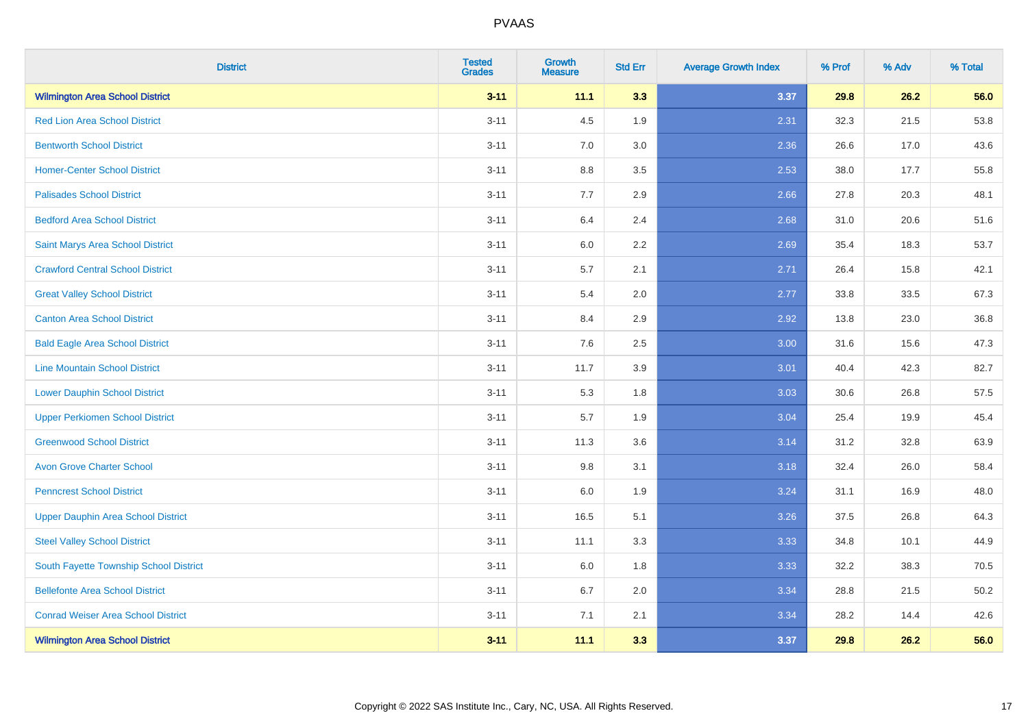| <b>District</b>                           | <b>Tested</b><br><b>Grades</b> | <b>Growth</b><br><b>Measure</b> | <b>Std Err</b> | <b>Average Growth Index</b> | % Prof | % Adv | % Total |
|-------------------------------------------|--------------------------------|---------------------------------|----------------|-----------------------------|--------|-------|---------|
| <b>Wilmington Area School District</b>    | $3 - 11$                       | 11.1                            | 3.3            | 3.37                        | 29.8   | 26.2  | 56.0    |
| <b>Red Lion Area School District</b>      | $3 - 11$                       | 4.5                             | 1.9            | 2.31                        | 32.3   | 21.5  | 53.8    |
| <b>Bentworth School District</b>          | $3 - 11$                       | 7.0                             | 3.0            | 2.36                        | 26.6   | 17.0  | 43.6    |
| <b>Homer-Center School District</b>       | $3 - 11$                       | $8.8\,$                         | 3.5            | 2.53                        | 38.0   | 17.7  | 55.8    |
| <b>Palisades School District</b>          | $3 - 11$                       | 7.7                             | 2.9            | 2.66                        | 27.8   | 20.3  | 48.1    |
| <b>Bedford Area School District</b>       | $3 - 11$                       | 6.4                             | 2.4            | 2.68                        | 31.0   | 20.6  | 51.6    |
| Saint Marys Area School District          | $3 - 11$                       | $6.0\,$                         | 2.2            | 2.69                        | 35.4   | 18.3  | 53.7    |
| <b>Crawford Central School District</b>   | $3 - 11$                       | 5.7                             | 2.1            | 2.71                        | 26.4   | 15.8  | 42.1    |
| <b>Great Valley School District</b>       | $3 - 11$                       | 5.4                             | 2.0            | 2.77                        | 33.8   | 33.5  | 67.3    |
| <b>Canton Area School District</b>        | $3 - 11$                       | 8.4                             | 2.9            | 2.92                        | 13.8   | 23.0  | 36.8    |
| <b>Bald Eagle Area School District</b>    | $3 - 11$                       | 7.6                             | 2.5            | 3.00                        | 31.6   | 15.6  | 47.3    |
| <b>Line Mountain School District</b>      | $3 - 11$                       | 11.7                            | 3.9            | 3.01                        | 40.4   | 42.3  | 82.7    |
| <b>Lower Dauphin School District</b>      | $3 - 11$                       | 5.3                             | 1.8            | 3.03                        | 30.6   | 26.8  | 57.5    |
| <b>Upper Perkiomen School District</b>    | $3 - 11$                       | 5.7                             | 1.9            | 3.04                        | 25.4   | 19.9  | 45.4    |
| <b>Greenwood School District</b>          | $3 - 11$                       | 11.3                            | 3.6            | 3.14                        | 31.2   | 32.8  | 63.9    |
| <b>Avon Grove Charter School</b>          | $3 - 11$                       | 9.8                             | 3.1            | 3.18                        | 32.4   | 26.0  | 58.4    |
| <b>Penncrest School District</b>          | $3 - 11$                       | 6.0                             | 1.9            | 3.24                        | 31.1   | 16.9  | 48.0    |
| <b>Upper Dauphin Area School District</b> | $3 - 11$                       | 16.5                            | 5.1            | 3.26                        | 37.5   | 26.8  | 64.3    |
| <b>Steel Valley School District</b>       | $3 - 11$                       | 11.1                            | 3.3            | 3.33                        | 34.8   | 10.1  | 44.9    |
| South Fayette Township School District    | $3 - 11$                       | 6.0                             | 1.8            | 3.33                        | 32.2   | 38.3  | 70.5    |
| <b>Bellefonte Area School District</b>    | $3 - 11$                       | 6.7                             | 2.0            | 3.34                        | 28.8   | 21.5  | 50.2    |
| <b>Conrad Weiser Area School District</b> | $3 - 11$                       | 7.1                             | 2.1            | 3.34                        | 28.2   | 14.4  | 42.6    |
| <b>Wilmington Area School District</b>    | $3 - 11$                       | 11.1                            | 3.3            | 3.37                        | 29.8   | 26.2  | 56.0    |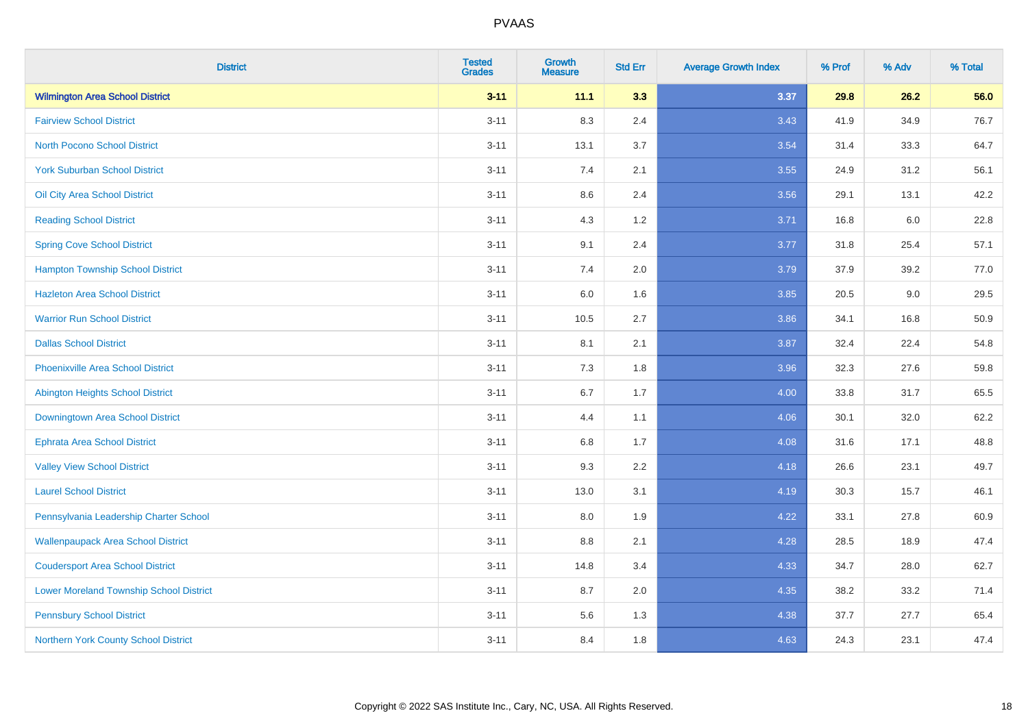| <b>District</b>                                | <b>Tested</b><br><b>Grades</b> | <b>Growth</b><br><b>Measure</b> | <b>Std Err</b> | <b>Average Growth Index</b> | % Prof | % Adv | % Total |
|------------------------------------------------|--------------------------------|---------------------------------|----------------|-----------------------------|--------|-------|---------|
| <b>Wilmington Area School District</b>         | $3 - 11$                       | 11.1                            | 3.3            | 3.37                        | 29.8   | 26.2  | 56.0    |
| <b>Fairview School District</b>                | $3 - 11$                       | 8.3                             | 2.4            | 3.43                        | 41.9   | 34.9  | 76.7    |
| <b>North Pocono School District</b>            | $3 - 11$                       | 13.1                            | 3.7            | 3.54                        | 31.4   | 33.3  | 64.7    |
| <b>York Suburban School District</b>           | $3 - 11$                       | 7.4                             | 2.1            | 3.55                        | 24.9   | 31.2  | 56.1    |
| Oil City Area School District                  | $3 - 11$                       | 8.6                             | 2.4            | 3.56                        | 29.1   | 13.1  | 42.2    |
| <b>Reading School District</b>                 | $3 - 11$                       | 4.3                             | 1.2            | 3.71                        | 16.8   | 6.0   | 22.8    |
| <b>Spring Cove School District</b>             | $3 - 11$                       | 9.1                             | 2.4            | 3.77                        | 31.8   | 25.4  | 57.1    |
| <b>Hampton Township School District</b>        | $3 - 11$                       | 7.4                             | 2.0            | 3.79                        | 37.9   | 39.2  | 77.0    |
| <b>Hazleton Area School District</b>           | $3 - 11$                       | 6.0                             | 1.6            | 3.85                        | 20.5   | 9.0   | 29.5    |
| <b>Warrior Run School District</b>             | $3 - 11$                       | 10.5                            | 2.7            | 3.86                        | 34.1   | 16.8  | 50.9    |
| <b>Dallas School District</b>                  | $3 - 11$                       | 8.1                             | 2.1            | 3.87                        | 32.4   | 22.4  | 54.8    |
| <b>Phoenixville Area School District</b>       | $3 - 11$                       | 7.3                             | 1.8            | 3.96                        | 32.3   | 27.6  | 59.8    |
| Abington Heights School District               | $3 - 11$                       | $6.7\,$                         | 1.7            | 4.00                        | 33.8   | 31.7  | 65.5    |
| Downingtown Area School District               | $3 - 11$                       | 4.4                             | 1.1            | 4.06                        | 30.1   | 32.0  | 62.2    |
| <b>Ephrata Area School District</b>            | $3 - 11$                       | 6.8                             | 1.7            | 4.08                        | 31.6   | 17.1  | 48.8    |
| <b>Valley View School District</b>             | $3 - 11$                       | 9.3                             | 2.2            | 4.18                        | 26.6   | 23.1  | 49.7    |
| <b>Laurel School District</b>                  | $3 - 11$                       | 13.0                            | 3.1            | 4.19                        | 30.3   | 15.7  | 46.1    |
| Pennsylvania Leadership Charter School         | $3 - 11$                       | 8.0                             | 1.9            | 4.22                        | 33.1   | 27.8  | 60.9    |
| <b>Wallenpaupack Area School District</b>      | $3 - 11$                       | $8.8\,$                         | 2.1            | 4.28                        | 28.5   | 18.9  | 47.4    |
| <b>Coudersport Area School District</b>        | $3 - 11$                       | 14.8                            | 3.4            | 4.33                        | 34.7   | 28.0  | 62.7    |
| <b>Lower Moreland Township School District</b> | $3 - 11$                       | 8.7                             | 2.0            | 4.35                        | 38.2   | 33.2  | 71.4    |
| <b>Pennsbury School District</b>               | $3 - 11$                       | 5.6                             | 1.3            | 4.38                        | 37.7   | 27.7  | 65.4    |
| Northern York County School District           | $3 - 11$                       | 8.4                             | 1.8            | 4.63                        | 24.3   | 23.1  | 47.4    |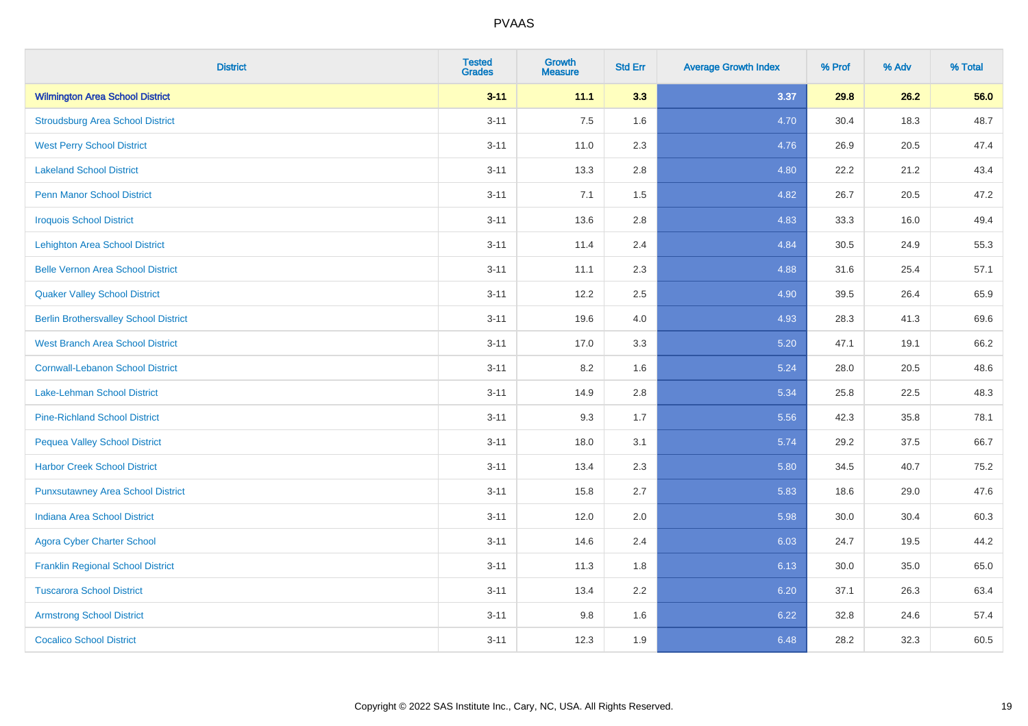| <b>District</b>                              | <b>Tested</b><br><b>Grades</b> | <b>Growth</b><br><b>Measure</b> | <b>Std Err</b> | <b>Average Growth Index</b> | % Prof | % Adv | % Total |
|----------------------------------------------|--------------------------------|---------------------------------|----------------|-----------------------------|--------|-------|---------|
| <b>Wilmington Area School District</b>       | $3 - 11$                       | 11.1                            | 3.3            | 3.37                        | 29.8   | 26.2  | 56.0    |
| <b>Stroudsburg Area School District</b>      | $3 - 11$                       | 7.5                             | 1.6            | 4.70                        | 30.4   | 18.3  | 48.7    |
| <b>West Perry School District</b>            | $3 - 11$                       | 11.0                            | 2.3            | 4.76                        | 26.9   | 20.5  | 47.4    |
| <b>Lakeland School District</b>              | $3 - 11$                       | 13.3                            | 2.8            | 4.80                        | 22.2   | 21.2  | 43.4    |
| <b>Penn Manor School District</b>            | $3 - 11$                       | 7.1                             | 1.5            | 4.82                        | 26.7   | 20.5  | 47.2    |
| <b>Iroquois School District</b>              | $3 - 11$                       | 13.6                            | 2.8            | 4.83                        | 33.3   | 16.0  | 49.4    |
| <b>Lehighton Area School District</b>        | $3 - 11$                       | 11.4                            | 2.4            | 4.84                        | 30.5   | 24.9  | 55.3    |
| <b>Belle Vernon Area School District</b>     | $3 - 11$                       | 11.1                            | 2.3            | 4.88                        | 31.6   | 25.4  | 57.1    |
| <b>Quaker Valley School District</b>         | $3 - 11$                       | 12.2                            | 2.5            | 4.90                        | 39.5   | 26.4  | 65.9    |
| <b>Berlin Brothersvalley School District</b> | $3 - 11$                       | 19.6                            | 4.0            | 4.93                        | 28.3   | 41.3  | 69.6    |
| <b>West Branch Area School District</b>      | $3 - 11$                       | 17.0                            | 3.3            | 5.20                        | 47.1   | 19.1  | 66.2    |
| <b>Cornwall-Lebanon School District</b>      | $3 - 11$                       | 8.2                             | 1.6            | 5.24                        | 28.0   | 20.5  | 48.6    |
| Lake-Lehman School District                  | $3 - 11$                       | 14.9                            | 2.8            | 5.34                        | 25.8   | 22.5  | 48.3    |
| <b>Pine-Richland School District</b>         | $3 - 11$                       | 9.3                             | 1.7            | 5.56                        | 42.3   | 35.8  | 78.1    |
| <b>Pequea Valley School District</b>         | $3 - 11$                       | 18.0                            | 3.1            | 5.74                        | 29.2   | 37.5  | 66.7    |
| <b>Harbor Creek School District</b>          | $3 - 11$                       | 13.4                            | 2.3            | 5.80                        | 34.5   | 40.7  | 75.2    |
| <b>Punxsutawney Area School District</b>     | $3 - 11$                       | 15.8                            | 2.7            | 5.83                        | 18.6   | 29.0  | 47.6    |
| <b>Indiana Area School District</b>          | $3 - 11$                       | 12.0                            | 2.0            | 5.98                        | 30.0   | 30.4  | 60.3    |
| <b>Agora Cyber Charter School</b>            | $3 - 11$                       | 14.6                            | 2.4            | 6.03                        | 24.7   | 19.5  | 44.2    |
| <b>Franklin Regional School District</b>     | $3 - 11$                       | 11.3                            | 1.8            | 6.13                        | 30.0   | 35.0  | 65.0    |
| <b>Tuscarora School District</b>             | $3 - 11$                       | 13.4                            | 2.2            | 6.20                        | 37.1   | 26.3  | 63.4    |
| <b>Armstrong School District</b>             | $3 - 11$                       | 9.8                             | 1.6            | 6.22                        | 32.8   | 24.6  | 57.4    |
| <b>Cocalico School District</b>              | $3 - 11$                       | 12.3                            | 1.9            | 6.48                        | 28.2   | 32.3  | 60.5    |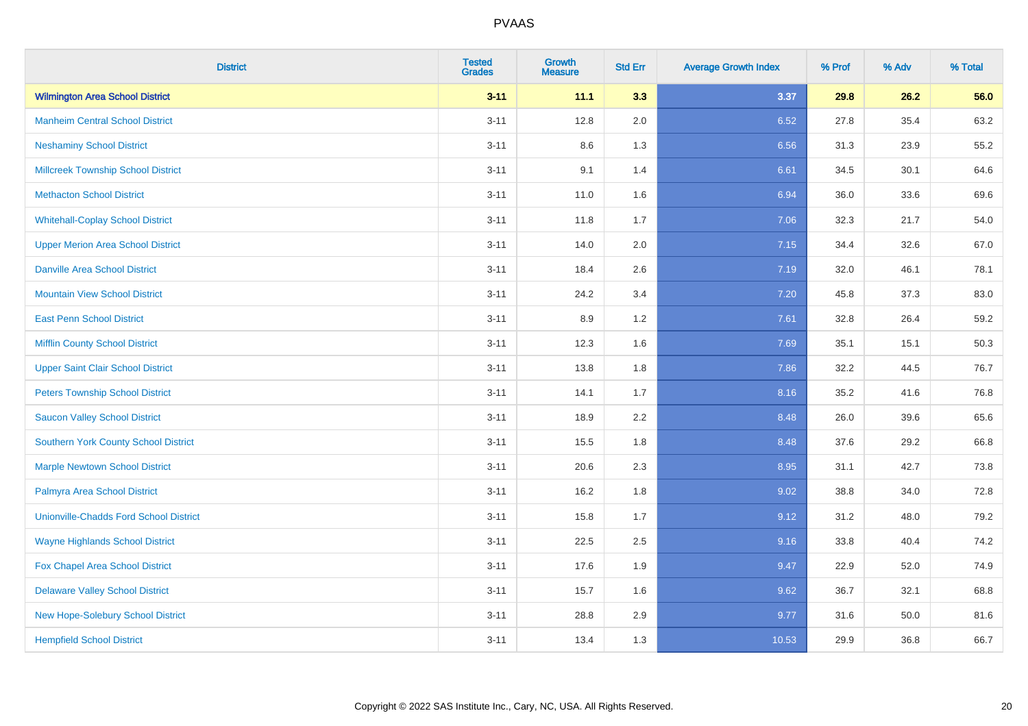| <b>District</b>                               | <b>Tested</b><br><b>Grades</b> | <b>Growth</b><br><b>Measure</b> | <b>Std Err</b> | <b>Average Growth Index</b> | % Prof | % Adv | % Total |
|-----------------------------------------------|--------------------------------|---------------------------------|----------------|-----------------------------|--------|-------|---------|
| <b>Wilmington Area School District</b>        | $3 - 11$                       | 11.1                            | 3.3            | 3.37                        | 29.8   | 26.2  | 56.0    |
| <b>Manheim Central School District</b>        | $3 - 11$                       | 12.8                            | 2.0            | 6.52                        | 27.8   | 35.4  | 63.2    |
| <b>Neshaminy School District</b>              | $3 - 11$                       | 8.6                             | 1.3            | 6.56                        | 31.3   | 23.9  | 55.2    |
| <b>Millcreek Township School District</b>     | $3 - 11$                       | 9.1                             | 1.4            | 6.61                        | 34.5   | 30.1  | 64.6    |
| <b>Methacton School District</b>              | $3 - 11$                       | 11.0                            | 1.6            | 6.94                        | 36.0   | 33.6  | 69.6    |
| <b>Whitehall-Coplay School District</b>       | $3 - 11$                       | 11.8                            | 1.7            | 7.06                        | 32.3   | 21.7  | 54.0    |
| <b>Upper Merion Area School District</b>      | $3 - 11$                       | 14.0                            | 2.0            | 7.15                        | 34.4   | 32.6  | 67.0    |
| <b>Danville Area School District</b>          | $3 - 11$                       | 18.4                            | 2.6            | 7.19                        | 32.0   | 46.1  | 78.1    |
| <b>Mountain View School District</b>          | $3 - 11$                       | 24.2                            | 3.4            | 7.20                        | 45.8   | 37.3  | 83.0    |
| <b>East Penn School District</b>              | $3 - 11$                       | 8.9                             | 1.2            | 7.61                        | 32.8   | 26.4  | 59.2    |
| <b>Mifflin County School District</b>         | $3 - 11$                       | 12.3                            | 1.6            | 7.69                        | 35.1   | 15.1  | 50.3    |
| <b>Upper Saint Clair School District</b>      | $3 - 11$                       | 13.8                            | 1.8            | 7.86                        | 32.2   | 44.5  | 76.7    |
| <b>Peters Township School District</b>        | $3 - 11$                       | 14.1                            | 1.7            | 8.16                        | 35.2   | 41.6  | 76.8    |
| <b>Saucon Valley School District</b>          | $3 - 11$                       | 18.9                            | 2.2            | 8.48                        | 26.0   | 39.6  | 65.6    |
| <b>Southern York County School District</b>   | $3 - 11$                       | 15.5                            | 1.8            | 8.48                        | 37.6   | 29.2  | 66.8    |
| <b>Marple Newtown School District</b>         | $3 - 11$                       | 20.6                            | 2.3            | 8.95                        | 31.1   | 42.7  | 73.8    |
| Palmyra Area School District                  | $3 - 11$                       | 16.2                            | 1.8            | 9.02                        | 38.8   | 34.0  | 72.8    |
| <b>Unionville-Chadds Ford School District</b> | $3 - 11$                       | 15.8                            | 1.7            | 9.12                        | 31.2   | 48.0  | 79.2    |
| <b>Wayne Highlands School District</b>        | $3 - 11$                       | 22.5                            | 2.5            | 9.16                        | 33.8   | 40.4  | 74.2    |
| Fox Chapel Area School District               | $3 - 11$                       | 17.6                            | 1.9            | 9.47                        | 22.9   | 52.0  | 74.9    |
| <b>Delaware Valley School District</b>        | $3 - 11$                       | 15.7                            | 1.6            | 9.62                        | 36.7   | 32.1  | 68.8    |
| New Hope-Solebury School District             | $3 - 11$                       | 28.8                            | 2.9            | 9.77                        | 31.6   | 50.0  | 81.6    |
| <b>Hempfield School District</b>              | $3 - 11$                       | 13.4                            | 1.3            | 10.53                       | 29.9   | 36.8  | 66.7    |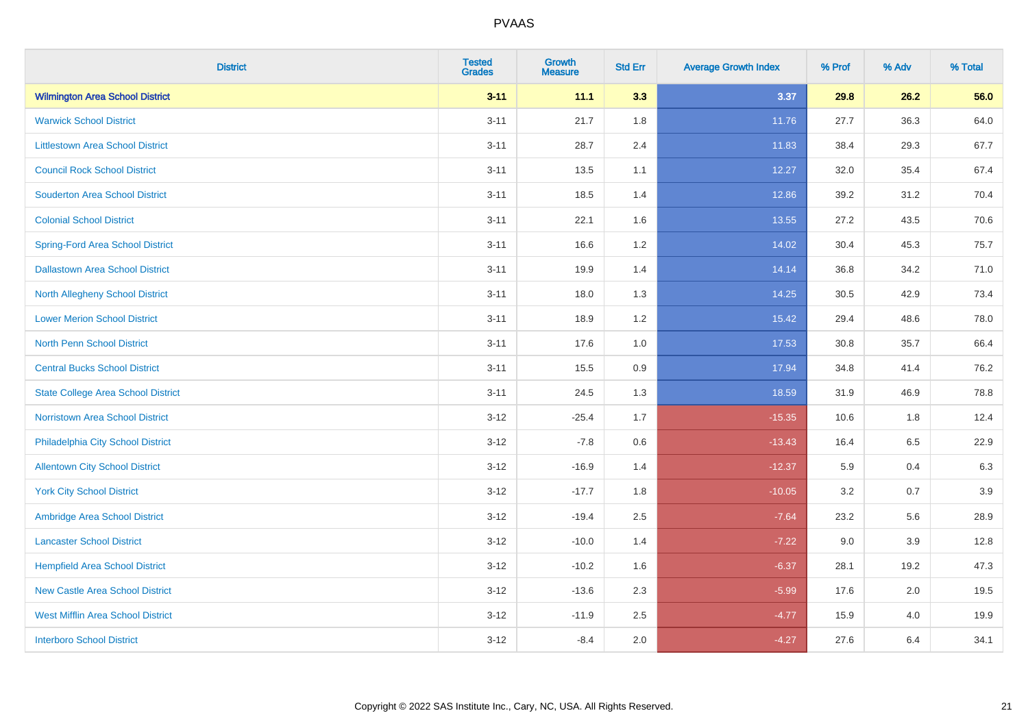| <b>District</b>                           | <b>Tested</b><br><b>Grades</b> | <b>Growth</b><br><b>Measure</b> | <b>Std Err</b> | <b>Average Growth Index</b> | % Prof | % Adv   | % Total |
|-------------------------------------------|--------------------------------|---------------------------------|----------------|-----------------------------|--------|---------|---------|
| <b>Wilmington Area School District</b>    | $3 - 11$                       | 11.1                            | 3.3            | 3.37                        | 29.8   | 26.2    | 56.0    |
| <b>Warwick School District</b>            | $3 - 11$                       | 21.7                            | 1.8            | 11.76                       | 27.7   | 36.3    | 64.0    |
| <b>Littlestown Area School District</b>   | $3 - 11$                       | 28.7                            | 2.4            | 11.83                       | 38.4   | 29.3    | 67.7    |
| <b>Council Rock School District</b>       | $3 - 11$                       | 13.5                            | 1.1            | 12.27                       | 32.0   | 35.4    | 67.4    |
| <b>Souderton Area School District</b>     | $3 - 11$                       | 18.5                            | 1.4            | 12.86                       | 39.2   | 31.2    | 70.4    |
| <b>Colonial School District</b>           | $3 - 11$                       | 22.1                            | 1.6            | 13.55                       | 27.2   | 43.5    | 70.6    |
| <b>Spring-Ford Area School District</b>   | $3 - 11$                       | 16.6                            | 1.2            | 14.02                       | 30.4   | 45.3    | 75.7    |
| <b>Dallastown Area School District</b>    | $3 - 11$                       | 19.9                            | 1.4            | 14.14                       | 36.8   | 34.2    | 71.0    |
| <b>North Allegheny School District</b>    | $3 - 11$                       | 18.0                            | 1.3            | 14.25                       | 30.5   | 42.9    | 73.4    |
| <b>Lower Merion School District</b>       | $3 - 11$                       | 18.9                            | 1.2            | 15.42                       | 29.4   | 48.6    | 78.0    |
| <b>North Penn School District</b>         | $3 - 11$                       | 17.6                            | 1.0            | 17.53                       | 30.8   | 35.7    | 66.4    |
| <b>Central Bucks School District</b>      | $3 - 11$                       | 15.5                            | 0.9            | 17.94                       | 34.8   | 41.4    | 76.2    |
| <b>State College Area School District</b> | $3 - 11$                       | 24.5                            | 1.3            | 18.59                       | 31.9   | 46.9    | 78.8    |
| Norristown Area School District           | $3 - 12$                       | $-25.4$                         | 1.7            | $-15.35$                    | 10.6   | 1.8     | 12.4    |
| Philadelphia City School District         | $3 - 12$                       | $-7.8$                          | $0.6\,$        | $-13.43$                    | 16.4   | 6.5     | 22.9    |
| <b>Allentown City School District</b>     | $3 - 12$                       | $-16.9$                         | 1.4            | $-12.37$                    | 5.9    | 0.4     | 6.3     |
| <b>York City School District</b>          | $3 - 12$                       | $-17.7$                         | 1.8            | $-10.05$                    | 3.2    | 0.7     | 3.9     |
| Ambridge Area School District             | $3 - 12$                       | $-19.4$                         | 2.5            | $-7.64$                     | 23.2   | 5.6     | 28.9    |
| <b>Lancaster School District</b>          | $3-12$                         | $-10.0$                         | 1.4            | $-7.22$                     | 9.0    | 3.9     | 12.8    |
| <b>Hempfield Area School District</b>     | $3-12$                         | $-10.2$                         | 1.6            | $-6.37$                     | 28.1   | 19.2    | 47.3    |
| <b>New Castle Area School District</b>    | $3 - 12$                       | $-13.6$                         | 2.3            | $-5.99$                     | 17.6   | 2.0     | 19.5    |
| <b>West Mifflin Area School District</b>  | $3 - 12$                       | $-11.9$                         | 2.5            | $-4.77$                     | 15.9   | $4.0\,$ | 19.9    |
| <b>Interboro School District</b>          | $3-12$                         | $-8.4$                          | 2.0            | $-4.27$                     | 27.6   | 6.4     | 34.1    |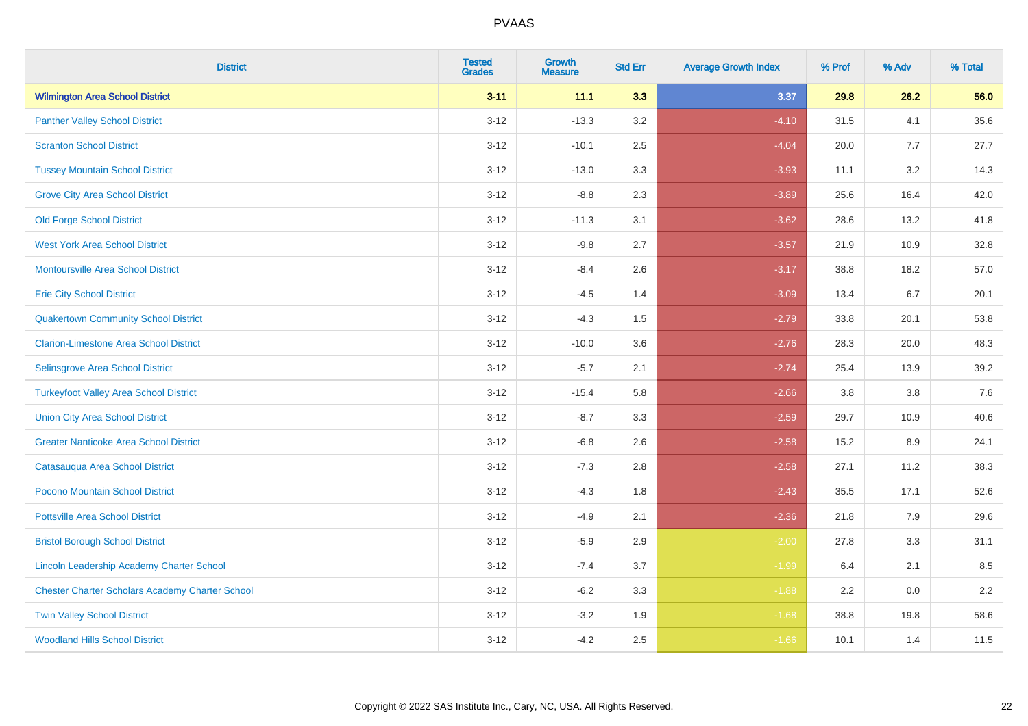| <b>District</b>                                        | <b>Tested</b><br><b>Grades</b> | <b>Growth</b><br><b>Measure</b> | <b>Std Err</b> | <b>Average Growth Index</b> | % Prof | % Adv | % Total |
|--------------------------------------------------------|--------------------------------|---------------------------------|----------------|-----------------------------|--------|-------|---------|
| <b>Wilmington Area School District</b>                 | $3 - 11$                       | 11.1                            | 3.3            | 3.37                        | 29.8   | 26.2  | 56.0    |
| <b>Panther Valley School District</b>                  | $3 - 12$                       | $-13.3$                         | 3.2            | $-4.10$                     | 31.5   | 4.1   | 35.6    |
| <b>Scranton School District</b>                        | $3 - 12$                       | $-10.1$                         | 2.5            | $-4.04$                     | 20.0   | 7.7   | 27.7    |
| <b>Tussey Mountain School District</b>                 | $3 - 12$                       | $-13.0$                         | 3.3            | $-3.93$                     | 11.1   | 3.2   | 14.3    |
| <b>Grove City Area School District</b>                 | $3-12$                         | $-8.8$                          | 2.3            | $-3.89$                     | 25.6   | 16.4  | 42.0    |
| <b>Old Forge School District</b>                       | $3 - 12$                       | $-11.3$                         | 3.1            | $-3.62$                     | 28.6   | 13.2  | 41.8    |
| <b>West York Area School District</b>                  | $3 - 12$                       | $-9.8$                          | 2.7            | $-3.57$                     | 21.9   | 10.9  | 32.8    |
| <b>Montoursville Area School District</b>              | $3 - 12$                       | $-8.4$                          | 2.6            | $-3.17$                     | 38.8   | 18.2  | 57.0    |
| <b>Erie City School District</b>                       | $3 - 12$                       | $-4.5$                          | 1.4            | $-3.09$                     | 13.4   | 6.7   | 20.1    |
| <b>Quakertown Community School District</b>            | $3 - 12$                       | $-4.3$                          | 1.5            | $-2.79$                     | 33.8   | 20.1  | 53.8    |
| <b>Clarion-Limestone Area School District</b>          | $3 - 12$                       | $-10.0$                         | 3.6            | $-2.76$                     | 28.3   | 20.0  | 48.3    |
| Selinsgrove Area School District                       | $3-12$                         | $-5.7$                          | 2.1            | $-2.74$                     | 25.4   | 13.9  | 39.2    |
| <b>Turkeyfoot Valley Area School District</b>          | $3 - 12$                       | $-15.4$                         | 5.8            | $-2.66$                     | 3.8    | 3.8   | $7.6$   |
| <b>Union City Area School District</b>                 | $3 - 12$                       | $-8.7$                          | 3.3            | $-2.59$                     | 29.7   | 10.9  | 40.6    |
| <b>Greater Nanticoke Area School District</b>          | $3 - 12$                       | $-6.8$                          | 2.6            | $-2.58$                     | 15.2   | 8.9   | 24.1    |
| Catasauqua Area School District                        | $3 - 12$                       | $-7.3$                          | 2.8            | $-2.58$                     | 27.1   | 11.2  | 38.3    |
| Pocono Mountain School District                        | $3 - 12$                       | $-4.3$                          | 1.8            | $-2.43$                     | 35.5   | 17.1  | 52.6    |
| <b>Pottsville Area School District</b>                 | $3 - 12$                       | $-4.9$                          | 2.1            | $-2.36$                     | 21.8   | 7.9   | 29.6    |
| <b>Bristol Borough School District</b>                 | $3-12$                         | $-5.9$                          | 2.9            | $-2.00$                     | 27.8   | 3.3   | 31.1    |
| <b>Lincoln Leadership Academy Charter School</b>       | $3 - 12$                       | $-7.4$                          | 3.7            | $-1.99$                     | 6.4    | 2.1   | 8.5     |
| <b>Chester Charter Scholars Academy Charter School</b> | $3 - 12$                       | $-6.2$                          | 3.3            | $-1.88$                     | 2.2    | 0.0   | 2.2     |
| <b>Twin Valley School District</b>                     | $3 - 12$                       | $-3.2$                          | 1.9            | $-1.68$                     | 38.8   | 19.8  | 58.6    |
| <b>Woodland Hills School District</b>                  | $3-12$                         | $-4.2$                          | 2.5            | $-1.66$                     | 10.1   | 1.4   | 11.5    |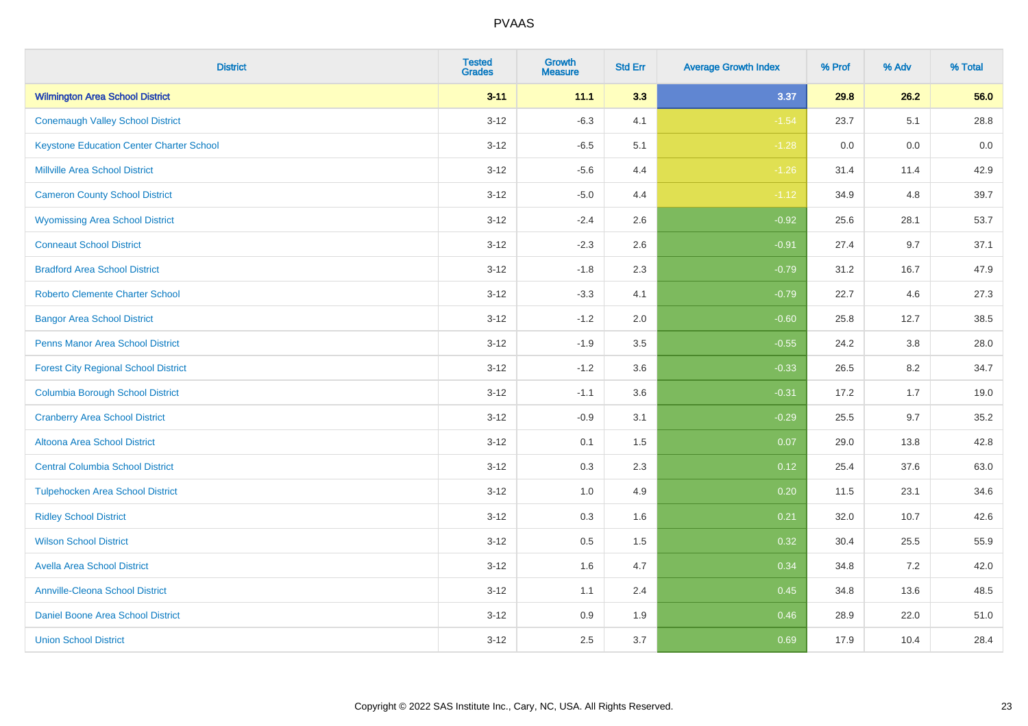| <b>District</b>                                 | <b>Tested</b><br><b>Grades</b> | <b>Growth</b><br><b>Measure</b> | <b>Std Err</b> | <b>Average Growth Index</b> | % Prof | % Adv | % Total |
|-------------------------------------------------|--------------------------------|---------------------------------|----------------|-----------------------------|--------|-------|---------|
| <b>Wilmington Area School District</b>          | $3 - 11$                       | 11.1                            | 3.3            | 3.37                        | 29.8   | 26.2  | 56.0    |
| <b>Conemaugh Valley School District</b>         | $3 - 12$                       | $-6.3$                          | 4.1            | $-1.54$                     | 23.7   | 5.1   | 28.8    |
| <b>Keystone Education Center Charter School</b> | $3 - 12$                       | $-6.5$                          | 5.1            | $-1.28$                     | 0.0    | 0.0   | 0.0     |
| <b>Millville Area School District</b>           | $3 - 12$                       | $-5.6$                          | 4.4            | $-1.26$                     | 31.4   | 11.4  | 42.9    |
| <b>Cameron County School District</b>           | $3-12$                         | $-5.0$                          | 4.4            | $-1.12$                     | 34.9   | 4.8   | 39.7    |
| <b>Wyomissing Area School District</b>          | $3 - 12$                       | $-2.4$                          | 2.6            | $-0.92$                     | 25.6   | 28.1  | 53.7    |
| <b>Conneaut School District</b>                 | $3 - 12$                       | $-2.3$                          | 2.6            | $-0.91$                     | 27.4   | 9.7   | 37.1    |
| <b>Bradford Area School District</b>            | $3 - 12$                       | $-1.8$                          | 2.3            | $-0.79$                     | 31.2   | 16.7  | 47.9    |
| <b>Roberto Clemente Charter School</b>          | $3 - 12$                       | $-3.3$                          | 4.1            | $-0.79$                     | 22.7   | 4.6   | 27.3    |
| <b>Bangor Area School District</b>              | $3 - 12$                       | $-1.2$                          | 2.0            | $-0.60$                     | 25.8   | 12.7  | 38.5    |
| <b>Penns Manor Area School District</b>         | $3 - 12$                       | $-1.9$                          | 3.5            | $-0.55$                     | 24.2   | 3.8   | 28.0    |
| <b>Forest City Regional School District</b>     | $3 - 12$                       | $-1.2$                          | 3.6            | $-0.33$                     | 26.5   | 8.2   | 34.7    |
| <b>Columbia Borough School District</b>         | $3 - 12$                       | $-1.1$                          | 3.6            | $-0.31$                     | 17.2   | 1.7   | 19.0    |
| <b>Cranberry Area School District</b>           | $3 - 12$                       | $-0.9$                          | 3.1            | $-0.29$                     | 25.5   | 9.7   | 35.2    |
| Altoona Area School District                    | $3 - 12$                       | 0.1                             | 1.5            | 0.07                        | 29.0   | 13.8  | 42.8    |
| <b>Central Columbia School District</b>         | $3 - 12$                       | 0.3                             | 2.3            | 0.12                        | 25.4   | 37.6  | 63.0    |
| <b>Tulpehocken Area School District</b>         | $3 - 12$                       | 1.0                             | 4.9            | 0.20                        | 11.5   | 23.1  | 34.6    |
| <b>Ridley School District</b>                   | $3 - 12$                       | 0.3                             | 1.6            | 0.21                        | 32.0   | 10.7  | 42.6    |
| <b>Wilson School District</b>                   | $3 - 12$                       | $0.5\,$                         | 1.5            | 0.32                        | 30.4   | 25.5  | 55.9    |
| <b>Avella Area School District</b>              | $3-12$                         | 1.6                             | 4.7            | 0.34                        | 34.8   | 7.2   | 42.0    |
| <b>Annville-Cleona School District</b>          | $3 - 12$                       | 1.1                             | 2.4            | 0.45                        | 34.8   | 13.6  | 48.5    |
| Daniel Boone Area School District               | $3 - 12$                       | $0.9\,$                         | 1.9            | 0.46                        | 28.9   | 22.0  | 51.0    |
| <b>Union School District</b>                    | $3-12$                         | 2.5                             | 3.7            | 0.69                        | 17.9   | 10.4  | 28.4    |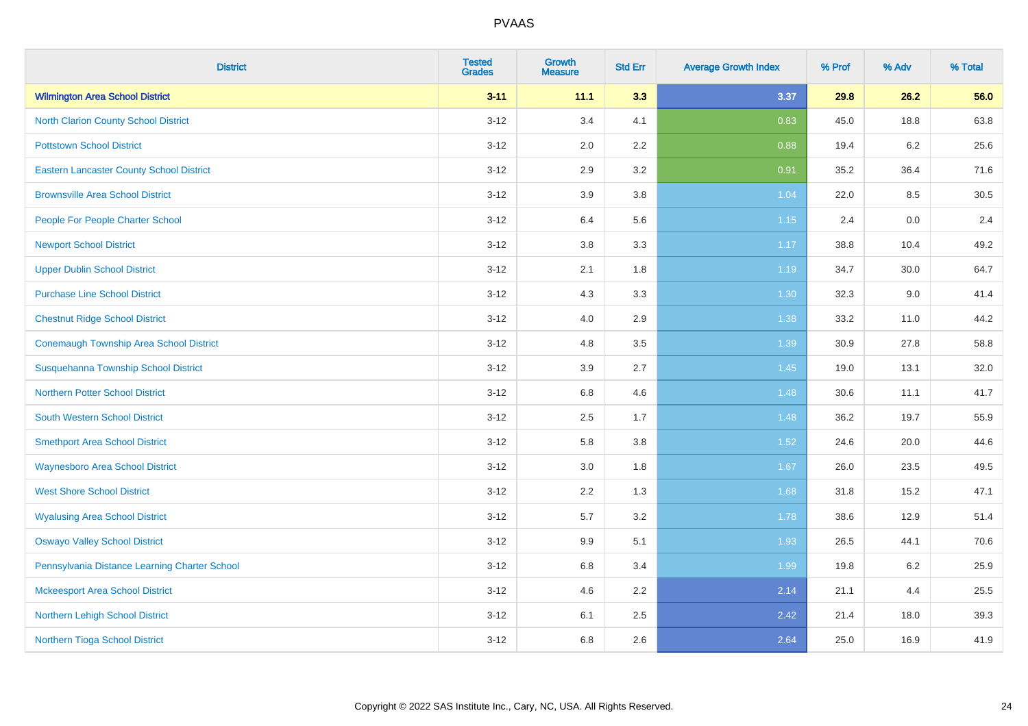| <b>District</b>                                 | <b>Tested</b><br><b>Grades</b> | <b>Growth</b><br><b>Measure</b> | <b>Std Err</b> | <b>Average Growth Index</b> | % Prof | % Adv   | % Total |
|-------------------------------------------------|--------------------------------|---------------------------------|----------------|-----------------------------|--------|---------|---------|
| <b>Wilmington Area School District</b>          | $3 - 11$                       | 11.1                            | 3.3            | 3.37                        | 29.8   | 26.2    | 56.0    |
| <b>North Clarion County School District</b>     | $3 - 12$                       | 3.4                             | 4.1            | 0.83                        | 45.0   | 18.8    | 63.8    |
| <b>Pottstown School District</b>                | $3 - 12$                       | 2.0                             | 2.2            | 0.88                        | 19.4   | $6.2\,$ | 25.6    |
| <b>Eastern Lancaster County School District</b> | $3 - 12$                       | 2.9                             | 3.2            | 0.91                        | 35.2   | 36.4    | 71.6    |
| <b>Brownsville Area School District</b>         | $3 - 12$                       | 3.9                             | 3.8            | 1.04                        | 22.0   | 8.5     | 30.5    |
| People For People Charter School                | $3 - 12$                       | 6.4                             | 5.6            | 1.15                        | 2.4    | 0.0     | 2.4     |
| <b>Newport School District</b>                  | $3-12$                         | $3.8\,$                         | 3.3            | 1.17                        | 38.8   | 10.4    | 49.2    |
| <b>Upper Dublin School District</b>             | $3 - 12$                       | 2.1                             | 1.8            | 1.19                        | 34.7   | 30.0    | 64.7    |
| <b>Purchase Line School District</b>            | $3 - 12$                       | 4.3                             | 3.3            | 1.30                        | 32.3   | 9.0     | 41.4    |
| <b>Chestnut Ridge School District</b>           | $3 - 12$                       | 4.0                             | 2.9            | 1.38                        | 33.2   | 11.0    | 44.2    |
| <b>Conemaugh Township Area School District</b>  | $3 - 12$                       | 4.8                             | 3.5            | 1.39                        | 30.9   | 27.8    | 58.8    |
| Susquehanna Township School District            | $3 - 12$                       | 3.9                             | 2.7            | 1.45                        | 19.0   | 13.1    | 32.0    |
| <b>Northern Potter School District</b>          | $3 - 12$                       | 6.8                             | 4.6            | 1.48                        | 30.6   | 11.1    | 41.7    |
| <b>South Western School District</b>            | $3-12$                         | 2.5                             | 1.7            | 1.48                        | 36.2   | 19.7    | 55.9    |
| <b>Smethport Area School District</b>           | $3 - 12$                       | 5.8                             | 3.8            | 1.52                        | 24.6   | 20.0    | 44.6    |
| <b>Waynesboro Area School District</b>          | $3-12$                         | 3.0                             | 1.8            | 1.67                        | 26.0   | 23.5    | 49.5    |
| <b>West Shore School District</b>               | $3-12$                         | 2.2                             | 1.3            | 1.68                        | 31.8   | 15.2    | 47.1    |
| <b>Wyalusing Area School District</b>           | $3 - 12$                       | 5.7                             | 3.2            | 1.78                        | 38.6   | 12.9    | 51.4    |
| <b>Oswayo Valley School District</b>            | $3 - 12$                       | 9.9                             | 5.1            | 1.93                        | 26.5   | 44.1    | 70.6    |
| Pennsylvania Distance Learning Charter School   | $3-12$                         | 6.8                             | 3.4            | 1.99                        | 19.8   | $6.2\,$ | 25.9    |
| <b>Mckeesport Area School District</b>          | $3-12$                         | 4.6                             | 2.2            | 2.14                        | 21.1   | 4.4     | 25.5    |
| Northern Lehigh School District                 | $3 - 12$                       | 6.1                             | 2.5            | 2.42                        | 21.4   | 18.0    | 39.3    |
| Northern Tioga School District                  | $3-12$                         | 6.8                             | 2.6            | 2.64                        | 25.0   | 16.9    | 41.9    |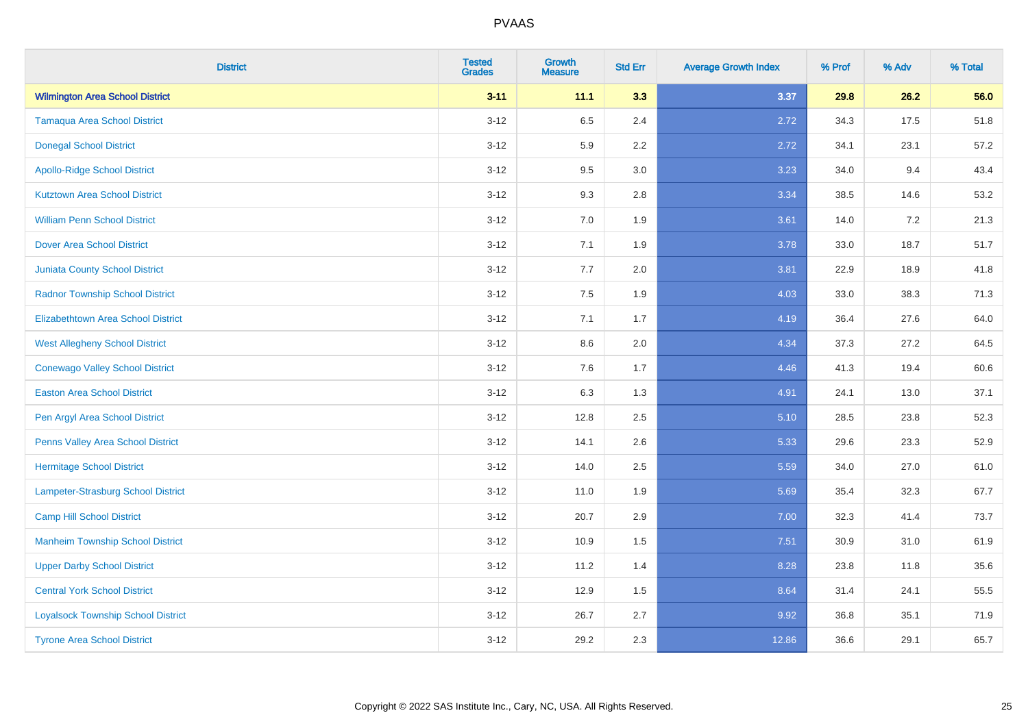| <b>District</b>                           | <b>Tested</b><br><b>Grades</b> | <b>Growth</b><br><b>Measure</b> | <b>Std Err</b> | <b>Average Growth Index</b> | % Prof | % Adv | % Total |
|-------------------------------------------|--------------------------------|---------------------------------|----------------|-----------------------------|--------|-------|---------|
| <b>Wilmington Area School District</b>    | $3 - 11$                       | 11.1                            | 3.3            | 3.37                        | 29.8   | 26.2  | 56.0    |
| <b>Tamaqua Area School District</b>       | $3 - 12$                       | 6.5                             | 2.4            | 2.72                        | 34.3   | 17.5  | 51.8    |
| <b>Donegal School District</b>            | $3 - 12$                       | 5.9                             | 2.2            | 2.72                        | 34.1   | 23.1  | 57.2    |
| <b>Apollo-Ridge School District</b>       | $3 - 12$                       | 9.5                             | 3.0            | 3.23                        | 34.0   | 9.4   | 43.4    |
| <b>Kutztown Area School District</b>      | $3 - 12$                       | 9.3                             | 2.8            | 3.34                        | 38.5   | 14.6  | 53.2    |
| <b>William Penn School District</b>       | $3 - 12$                       | 7.0                             | 1.9            | 3.61                        | 14.0   | 7.2   | 21.3    |
| <b>Dover Area School District</b>         | $3-12$                         | 7.1                             | 1.9            | 3.78                        | 33.0   | 18.7  | 51.7    |
| <b>Juniata County School District</b>     | $3 - 12$                       | 7.7                             | 2.0            | 3.81                        | 22.9   | 18.9  | 41.8    |
| <b>Radnor Township School District</b>    | $3 - 12$                       | 7.5                             | 1.9            | 4.03                        | 33.0   | 38.3  | 71.3    |
| <b>Elizabethtown Area School District</b> | $3 - 12$                       | 7.1                             | 1.7            | 4.19                        | 36.4   | 27.6  | 64.0    |
| <b>West Allegheny School District</b>     | $3 - 12$                       | 8.6                             | 2.0            | 4.34                        | 37.3   | 27.2  | 64.5    |
| <b>Conewago Valley School District</b>    | $3 - 12$                       | 7.6                             | 1.7            | 4.46                        | 41.3   | 19.4  | 60.6    |
| <b>Easton Area School District</b>        | $3 - 12$                       | 6.3                             | 1.3            | 4.91                        | 24.1   | 13.0  | 37.1    |
| Pen Argyl Area School District            | $3 - 12$                       | 12.8                            | 2.5            | 5.10                        | 28.5   | 23.8  | 52.3    |
| Penns Valley Area School District         | $3 - 12$                       | 14.1                            | 2.6            | 5.33                        | 29.6   | 23.3  | 52.9    |
| <b>Hermitage School District</b>          | $3 - 12$                       | 14.0                            | 2.5            | 5.59                        | 34.0   | 27.0  | 61.0    |
| Lampeter-Strasburg School District        | $3-12$                         | 11.0                            | 1.9            | 5.69                        | 35.4   | 32.3  | 67.7    |
| <b>Camp Hill School District</b>          | $3 - 12$                       | 20.7                            | 2.9            | 7.00                        | 32.3   | 41.4  | 73.7    |
| <b>Manheim Township School District</b>   | $3 - 12$                       | 10.9                            | 1.5            | 7.51                        | 30.9   | 31.0  | 61.9    |
| <b>Upper Darby School District</b>        | $3-12$                         | 11.2                            | 1.4            | 8.28                        | 23.8   | 11.8  | 35.6    |
| <b>Central York School District</b>       | $3-12$                         | 12.9                            | 1.5            | 8.64                        | 31.4   | 24.1  | 55.5    |
| <b>Loyalsock Township School District</b> | $3 - 12$                       | 26.7                            | 2.7            | 9.92                        | 36.8   | 35.1  | 71.9    |
| <b>Tyrone Area School District</b>        | $3-12$                         | 29.2                            | 2.3            | 12.86                       | 36.6   | 29.1  | 65.7    |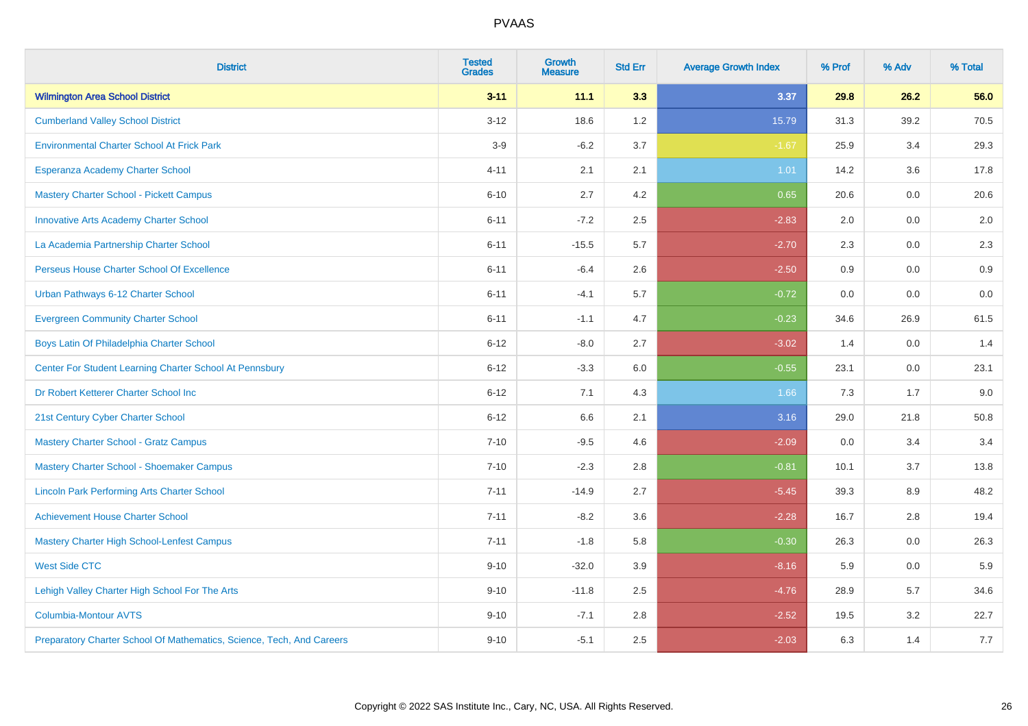| <b>District</b>                                                       | <b>Tested</b><br><b>Grades</b> | <b>Growth</b><br><b>Measure</b> | <b>Std Err</b> | <b>Average Growth Index</b> | % Prof | % Adv | % Total |
|-----------------------------------------------------------------------|--------------------------------|---------------------------------|----------------|-----------------------------|--------|-------|---------|
| <b>Wilmington Area School District</b>                                | $3 - 11$                       | 11.1                            | 3.3            | 3.37                        | 29.8   | 26.2  | 56.0    |
| <b>Cumberland Valley School District</b>                              | $3 - 12$                       | 18.6                            | 1.2            | 15.79                       | 31.3   | 39.2  | 70.5    |
| <b>Environmental Charter School At Frick Park</b>                     | $3-9$                          | $-6.2$                          | 3.7            | $-1.67$                     | 25.9   | 3.4   | 29.3    |
| Esperanza Academy Charter School                                      | $4 - 11$                       | 2.1                             | 2.1            | 1.01                        | 14.2   | 3.6   | 17.8    |
| <b>Mastery Charter School - Pickett Campus</b>                        | $6 - 10$                       | 2.7                             | 4.2            | 0.65                        | 20.6   | 0.0   | 20.6    |
| <b>Innovative Arts Academy Charter School</b>                         | $6 - 11$                       | $-7.2$                          | 2.5            | $-2.83$                     | 2.0    | 0.0   | 2.0     |
| La Academia Partnership Charter School                                | $6 - 11$                       | $-15.5$                         | 5.7            | $-2.70$                     | 2.3    | 0.0   | 2.3     |
| Perseus House Charter School Of Excellence                            | $6 - 11$                       | $-6.4$                          | 2.6            | $-2.50$                     | 0.9    | 0.0   | 0.9     |
| Urban Pathways 6-12 Charter School                                    | $6 - 11$                       | $-4.1$                          | 5.7            | $-0.72$                     | 0.0    | 0.0   | $0.0\,$ |
| <b>Evergreen Community Charter School</b>                             | $6 - 11$                       | $-1.1$                          | 4.7            | $-0.23$                     | 34.6   | 26.9  | 61.5    |
| Boys Latin Of Philadelphia Charter School                             | $6 - 12$                       | $-8.0$                          | 2.7            | $-3.02$                     | 1.4    | 0.0   | 1.4     |
| Center For Student Learning Charter School At Pennsbury               | $6 - 12$                       | $-3.3$                          | 6.0            | $-0.55$                     | 23.1   | 0.0   | 23.1    |
| Dr Robert Ketterer Charter School Inc                                 | $6 - 12$                       | 7.1                             | 4.3            | 1.66                        | 7.3    | 1.7   | 9.0     |
| 21st Century Cyber Charter School                                     | $6 - 12$                       | 6.6                             | 2.1            | 3.16                        | 29.0   | 21.8  | 50.8    |
| <b>Mastery Charter School - Gratz Campus</b>                          | $7 - 10$                       | $-9.5$                          | 4.6            | $-2.09$                     | 0.0    | 3.4   | 3.4     |
| Mastery Charter School - Shoemaker Campus                             | $7 - 10$                       | $-2.3$                          | 2.8            | $-0.81$                     | 10.1   | 3.7   | 13.8    |
| <b>Lincoln Park Performing Arts Charter School</b>                    | $7 - 11$                       | $-14.9$                         | 2.7            | $-5.45$                     | 39.3   | 8.9   | 48.2    |
| <b>Achievement House Charter School</b>                               | $7 - 11$                       | $-8.2$                          | 3.6            | $-2.28$                     | 16.7   | 2.8   | 19.4    |
| <b>Mastery Charter High School-Lenfest Campus</b>                     | $7 - 11$                       | $-1.8$                          | 5.8            | $-0.30$                     | 26.3   | 0.0   | 26.3    |
| <b>West Side CTC</b>                                                  | $9 - 10$                       | $-32.0$                         | 3.9            | $-8.16$                     | 5.9    | 0.0   | 5.9     |
| Lehigh Valley Charter High School For The Arts                        | $9 - 10$                       | $-11.8$                         | 2.5            | $-4.76$                     | 28.9   | 5.7   | 34.6    |
| <b>Columbia-Montour AVTS</b>                                          | $9 - 10$                       | $-7.1$                          | 2.8            | $-2.52$                     | 19.5   | 3.2   | 22.7    |
| Preparatory Charter School Of Mathematics, Science, Tech, And Careers | $9 - 10$                       | $-5.1$                          | 2.5            | $-2.03$                     | 6.3    | 1.4   | 7.7     |